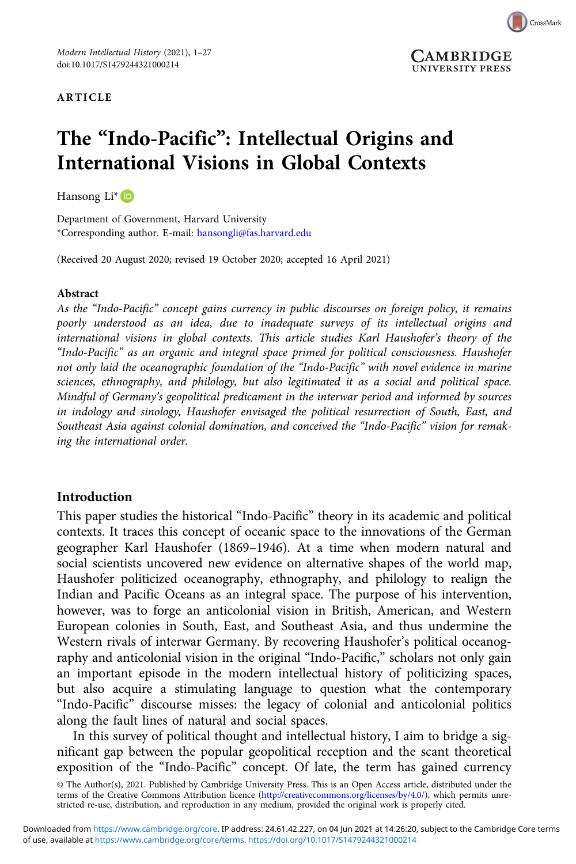#### ARTICLE



# The "Indo-Pacific": Intellectual Origins and International Visions in Global Contexts

Hansong Li<sup>\*</sup> (D

Department of Government, Harvard University \*Corresponding author. E-mail: [hansongli@fas.harvard.edu](mailto:hansongli@fas.harvard.edu)

(Received 20 August 2020; revised 19 October 2020; accepted 16 April 2021)

#### Abstract

As the "Indo-Pacific" concept gains currency in public discourses on foreign policy, it remains poorly understood as an idea, due to inadequate surveys of its intellectual origins and international visions in global contexts. This article studies Karl Haushofer's theory of the "Indo-Pacific" as an organic and integral space primed for political consciousness. Haushofer not only laid the oceanographic foundation of the "Indo-Pacific" with novel evidence in marine sciences, ethnography, and philology, but also legitimated it as a social and political space. Mindful of Germany's geopolitical predicament in the interwar period and informed by sources in indology and sinology, Haushofer envisaged the political resurrection of South, East, and Southeast Asia against colonial domination, and conceived the "Indo-Pacific" vision for remaking the international order.

#### Introduction

This paper studies the historical "Indo-Pacific" theory in its academic and political contexts. It traces this concept of oceanic space to the innovations of the German geographer Karl Haushofer (1869–1946). At a time when modern natural and social scientists uncovered new evidence on alternative shapes of the world map, Haushofer politicized oceanography, ethnography, and philology to realign the Indian and Pacific Oceans as an integral space. The purpose of his intervention, however, was to forge an anticolonial vision in British, American, and Western European colonies in South, East, and Southeast Asia, and thus undermine the Western rivals of interwar Germany. By recovering Haushofer's political oceanography and anticolonial vision in the original "Indo-Pacific," scholars not only gain an important episode in the modern intellectual history of politicizing spaces, but also acquire a stimulating language to question what the contemporary "Indo-Pacific" discourse misses: the legacy of colonial and anticolonial politics along the fault lines of natural and social spaces.

In this survey of political thought and intellectual history, I aim to bridge a significant gap between the popular geopolitical reception and the scant theoretical exposition of the "Indo-Pacific" concept. Of late, the term has gained currency

<sup>©</sup> The Author(s), 2021. Published by Cambridge University Press. This is an Open Access article, distributed under the<br>terms of the Creative Commons Attribution licence ([http://creativecommons.org/licenses/by/4.0/\)](http://creativecommons.org/licenses/by/4.0/), which p stricted re-use, distribution, and reproduction in any medium, provided the original work is properly cited.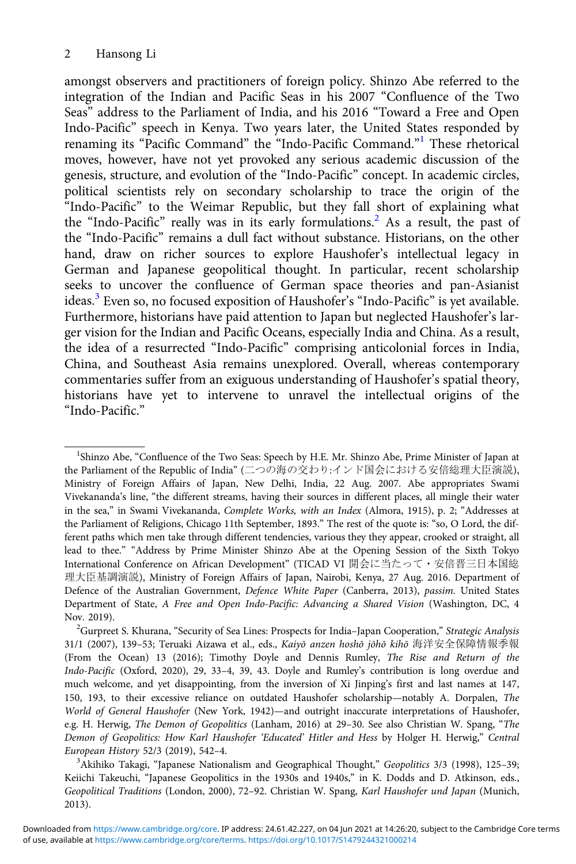amongst observers and practitioners of foreign policy. Shinzo Abe referred to the integration of the Indian and Pacific Seas in his 2007 "Confluence of the Two Seas" address to the Parliament of India, and his 2016 "Toward a Free and Open Indo-Pacific" speech in Kenya. Two years later, the United States responded by renaming its "Pacific Command" the "Indo-Pacific Command."<sup>1</sup> These rhetorical moves, however, have not yet provoked any serious academic discussion of the genesis, structure, and evolution of the "Indo-Pacific" concept. In academic circles, political scientists rely on secondary scholarship to trace the origin of the "Indo-Pacific" to the Weimar Republic, but they fall short of explaining what the "Indo-Pacific" really was in its early formulations.<sup>2</sup> As a result, the past of the "Indo-Pacific" remains a dull fact without substance. Historians, on the other hand, draw on richer sources to explore Haushofer's intellectual legacy in German and Japanese geopolitical thought. In particular, recent scholarship seeks to uncover the confluence of German space theories and pan-Asianist ideas.<sup>3</sup> Even so, no focused exposition of Haushofer's "Indo-Pacific" is yet available. Furthermore, historians have paid attention to Japan but neglected Haushofer's larger vision for the Indian and Pacific Oceans, especially India and China. As a result, the idea of a resurrected "Indo-Pacific" comprising anticolonial forces in India, China, and Southeast Asia remains unexplored. Overall, whereas contemporary commentaries suffer from an exiguous understanding of Haushofer's spatial theory, historians have yet to intervene to unravel the intellectual origins of the "Indo-Pacific."

<sup>&</sup>lt;sup>1</sup>Shinzo Abe, "Confluence of the Two Seas: Speech by H.E. Mr. Shinzo Abe, Prime Minister of Japan at the Parliament of the Republic of India" (二つの海の交わり:インド国会における安倍総理大臣演説), Ministry of Foreign Affairs of Japan, New Delhi, India, 22 Aug. 2007. Abe appropriates Swami Vivekananda's line, "the different streams, having their sources in different places, all mingle their water in the sea," in Swami Vivekananda, Complete Works, with an Index (Almora, 1915), p. 2; "Addresses at the Parliament of Religions, Chicago 11th September, 1893." The rest of the quote is: "so, O Lord, the different paths which men take through different tendencies, various they they appear, crooked or straight, all lead to thee." "Address by Prime Minister Shinzo Abe at the Opening Session of the Sixth Tokyo International Conference on African Development" (TICAD VI 開会に当たって・安倍晋三日本国総 理大臣基調演説), Ministry of Foreign Affairs of Japan, Nairobi, Kenya, 27 Aug. 2016. Department of Defence of the Australian Government, Defence White Paper (Canberra, 2013), passim. United States Department of State, A Free and Open Indo-Pacific: Advancing a Shared Vision (Washington, DC, 4 Nov. 2019).

<sup>&</sup>lt;sup>2</sup>Gurpreet S. Khurana, "Security of Sea Lines: Prospects for India-Japan Cooperation," Strategic Analysis 31/1 (2007), 139–53; Teruaki Aizawa et al., eds., Kaiyō anzen hoshō jōhō kihō 海洋安全保障情報季報 (From the Ocean) 13 (2016); Timothy Doyle and Dennis Rumley, The Rise and Return of the Indo-Pacific (Oxford, 2020), 29, 33–4, 39, 43. Doyle and Rumley's contribution is long overdue and much welcome, and yet disappointing, from the inversion of Xi Jinping's first and last names at 147, 150, 193, to their excessive reliance on outdated Haushofer scholarship—notably A. Dorpalen, The World of General Haushofer (New York, 1942)—and outright inaccurate interpretations of Haushofer, e.g. H. Herwig, The Demon of Geopolitics (Lanham, 2016) at 29–30. See also Christian W. Spang, "The Demon of Geopolitics: How Karl Haushofer 'Educated' Hitler and Hess by Holger H. Herwig," Central European History 52/3 (2019), 542–4. <sup>3</sup>

<sup>&</sup>lt;sup>3</sup> Akihiko Takagi, "Japanese Nationalism and Geographical Thought," Geopolitics 3/3 (1998), 125-39; Keiichi Takeuchi, "Japanese Geopolitics in the 1930s and 1940s," in K. Dodds and D. Atkinson, eds., Geopolitical Traditions (London, 2000), 72–92. Christian W. Spang, Karl Haushofer und Japan (Munich, 2013).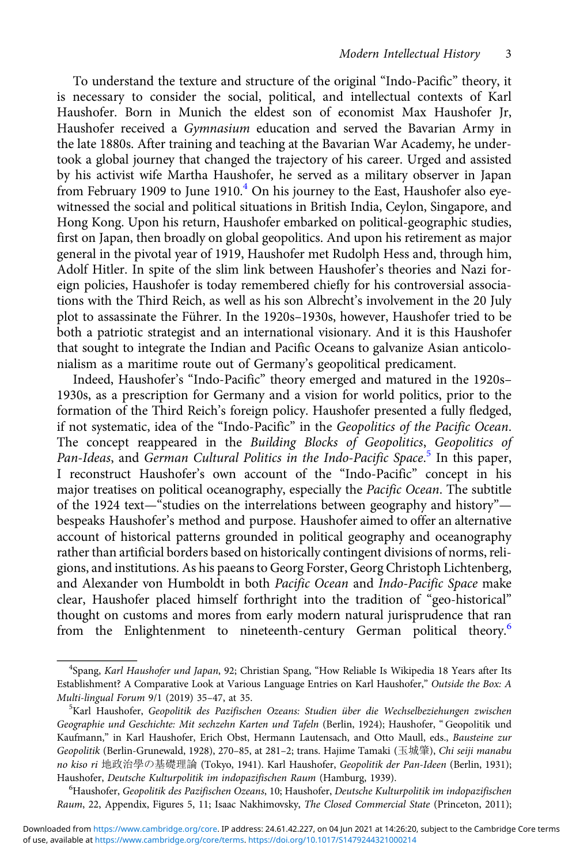To understand the texture and structure of the original "Indo-Pacific" theory, it is necessary to consider the social, political, and intellectual contexts of Karl Haushofer. Born in Munich the eldest son of economist Max Haushofer Jr, Haushofer received a Gymnasium education and served the Bavarian Army in the late 1880s. After training and teaching at the Bavarian War Academy, he undertook a global journey that changed the trajectory of his career. Urged and assisted by his activist wife Martha Haushofer, he served as a military observer in Japan from February 1909 to June 1910. $4$  On his journey to the East, Haushofer also eyewitnessed the social and political situations in British India, Ceylon, Singapore, and Hong Kong. Upon his return, Haushofer embarked on political-geographic studies, first on Japan, then broadly on global geopolitics. And upon his retirement as major general in the pivotal year of 1919, Haushofer met Rudolph Hess and, through him, Adolf Hitler. In spite of the slim link between Haushofer's theories and Nazi foreign policies, Haushofer is today remembered chiefly for his controversial associations with the Third Reich, as well as his son Albrecht's involvement in the 20 July plot to assassinate the Führer. In the 1920s–1930s, however, Haushofer tried to be both a patriotic strategist and an international visionary. And it is this Haushofer that sought to integrate the Indian and Pacific Oceans to galvanize Asian anticolonialism as a maritime route out of Germany's geopolitical predicament.

Indeed, Haushofer's "Indo-Pacific" theory emerged and matured in the 1920s– 1930s, as a prescription for Germany and a vision for world politics, prior to the formation of the Third Reich's foreign policy. Haushofer presented a fully fledged, if not systematic, idea of the "Indo-Pacific" in the Geopolitics of the Pacific Ocean. The concept reappeared in the Building Blocks of Geopolitics, Geopolitics of Pan-Ideas, and German Cultural Politics in the Indo-Pacific Space.<sup>[5](#page--1-0)</sup> In this paper, I reconstruct Haushofer's own account of the "Indo-Pacific" concept in his major treatises on political oceanography, especially the Pacific Ocean. The subtitle of the 1924 text—"studies on the interrelations between geography and history" bespeaks Haushofer's method and purpose. Haushofer aimed to offer an alternative account of historical patterns grounded in political geography and oceanography rather than artificial borders based on historically contingent divisions of norms, religions, and institutions. As his paeans to Georg Forster, Georg Christoph Lichtenberg, and Alexander von Humboldt in both Pacific Ocean and Indo-Pacific Space make clear, Haushofer placed himself forthright into the tradition of "geo-historical" thought on customs and mores from early modern natural jurisprudence that ran from the Enlightenment to nineteenth-century German political theory.<sup>[6](#page--1-0)</sup>

<sup>6</sup>Haushofer, Geopolitik des Pazifischen Ozeans, 10; Haushofer, Deutsche Kulturpolitik im indopazifischen Raum, 22, Appendix, Figures 5, 11; Isaac Nakhimovsky, The Closed Commercial State (Princeton, 2011);

<sup>&</sup>lt;sup>4</sup>Spang, Karl Haushofer und Japan, 92; Christian Spang, "How Reliable Is Wikipedia 18 Years after Its Establishment? A Comparative Look at Various Language Entries on Karl Haushofer," Outside the Box: A Multi-lingual Forum 9/1 (2019) 35-47, at 35.

<sup>&</sup>lt;sup>5</sup>Karl Haushofer, Geopolitik des Pazifischen Ozeans: Studien über die Wechselbeziehungen zwischen Geographie und Geschichte: Mit sechzehn Karten und Tafeln (Berlin, 1924); Haushofer, "Geopolitik und Kaufmann," in Karl Haushofer, Erich Obst, Hermann Lautensach, and Otto Maull, eds., Bausteine zur Geopolitik (Berlin-Grunewald, 1928), 270–85, at 281–2; trans. Hajime Tamaki (玉城肇), Chi seiji manabu no kiso ri 地政治學の基礎理論 (Tokyo, 1941). Karl Haushofer, Geopolitik der Pan-Ideen (Berlin, 1931); Haushofer, Deutsche Kulturpolitik im indopazifischen Raum (Hamburg, 1939).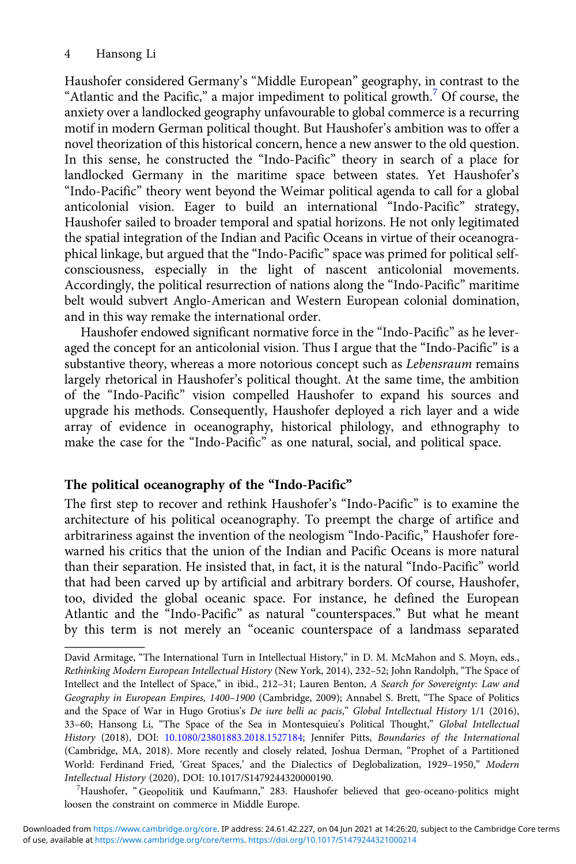Haushofer considered Germany's "Middle European" geography, in contrast to the "Atlantic and the Pacific," a major impediment to political growth.<sup>[7](#page--1-0)</sup> Of course, the anxiety over a landlocked geography unfavourable to global commerce is a recurring motif in modern German political thought. But Haushofer's ambition was to offer a novel theorization of this historical concern, hence a new answer to the old question. In this sense, he constructed the "Indo-Pacific" theory in search of a place for landlocked Germany in the maritime space between states. Yet Haushofer's "Indo-Pacific" theory went beyond the Weimar political agenda to call for a global anticolonial vision. Eager to build an international "Indo-Pacific" strategy, Haushofer sailed to broader temporal and spatial horizons. He not only legitimated the spatial integration of the Indian and Pacific Oceans in virtue of their oceanographical linkage, but argued that the "Indo-Pacific" space was primed for political selfconsciousness, especially in the light of nascent anticolonial movements. Accordingly, the political resurrection of nations along the "Indo-Pacific" maritime belt would subvert Anglo-American and Western European colonial domination, and in this way remake the international order.

Haushofer endowed significant normative force in the "Indo-Pacific" as he leveraged the concept for an anticolonial vision. Thus I argue that the "Indo-Pacific" is a substantive theory, whereas a more notorious concept such as Lebensraum remains largely rhetorical in Haushofer's political thought. At the same time, the ambition of the "Indo-Pacific" vision compelled Haushofer to expand his sources and upgrade his methods. Consequently, Haushofer deployed a rich layer and a wide array of evidence in oceanography, historical philology, and ethnography to make the case for the "Indo-Pacific" as one natural, social, and political space.

# The political oceanography of the "Indo-Pacific"

The first step to recover and rethink Haushofer's "Indo-Pacific" is to examine the architecture of his political oceanography. To preempt the charge of artifice and arbitrariness against the invention of the neologism "Indo-Pacific," Haushofer forewarned his critics that the union of the Indian and Pacific Oceans is more natural than their separation. He insisted that, in fact, it is the natural "Indo-Pacific" world that had been carved up by artificial and arbitrary borders. Of course, Haushofer, too, divided the global oceanic space. For instance, he defined the European Atlantic and the "Indo-Pacific" as natural "counterspaces." But what he meant by this term is not merely an "oceanic counterspace of a landmass separated

<sup>7</sup>Haushofer, "Geopolitik und Kaufmann," 283. Haushofer believed that geo-oceano-politics might loosen the constraint on commerce in Middle Europe.

David Armitage, "The International Turn in Intellectual History," in D. M. McMahon and S. Moyn, eds., Rethinking Modern European Intellectual History (New York, 2014), 232–52; John Randolph, "The Space of Intellect and the Intellect of Space," in ibid., 212–31; Lauren Benton, A Search for Sovereignty: Law and Geography in European Empires, 1400–1900 (Cambridge, 2009); Annabel S. Brett, "The Space of Politics and the Space of War in Hugo Grotius's De iure belli ac pacis," Global Intellectual History 1/1 (2016), 33–60; Hansong Li, "The Space of the Sea in Montesquieu's Political Thought," Global Intellectual History (2018), DOI: [10.1080/23801883.2018.1527184](http://dx.doi.org/10.1080/23801883.2018.1527184); Jennifer Pitts, Boundaries of the International (Cambridge, MA, 2018). More recently and closely related, Joshua Derman, "Prophet of a Partitioned World: Ferdinand Fried, 'Great Spaces,' and the Dialectics of Deglobalization, 1929–1950," Modern Intellectual History (2020), DOI: 10.1017/S1479244320000190. <sup>7</sup>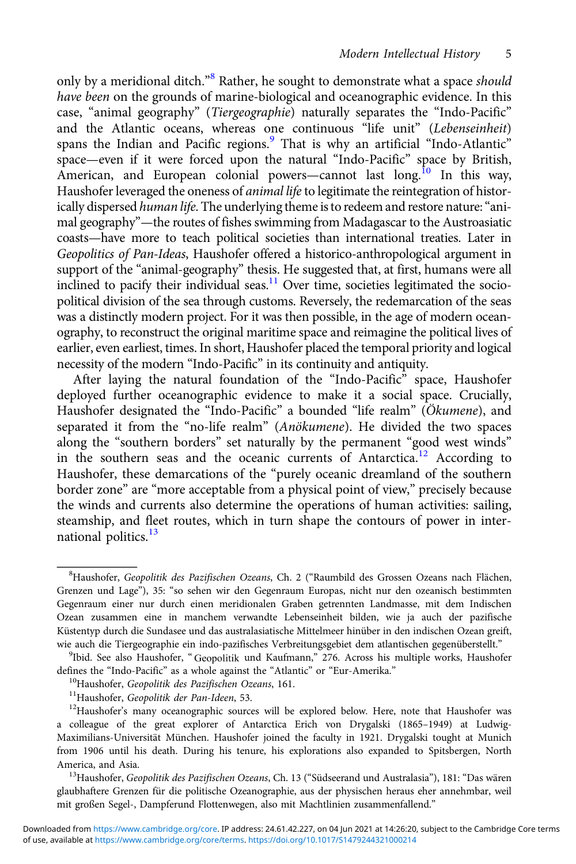only by a meridional ditch."<sup>[8](#page--1-0)</sup> Rather, he sought to demonstrate what a space *should* have been on the grounds of marine-biological and oceanographic evidence. In this case, "animal geography" (Tiergeographie) naturally separates the "Indo-Pacific" and the Atlantic oceans, whereas one continuous "life unit" (Lebenseinheit) spans the Indian and Pacific regions.<sup>[9](#page--1-0)</sup> That is why an artificial "Indo-Atlantic" space—even if it were forced upon the natural "Indo-Pacific" space by British, American, and European colonial powers—cannot last long.<sup>[10](#page--1-0)</sup> In this way, Haushofer leveraged the oneness of *animal life* to legitimate the reintegration of historically dispersed human life. The underlying theme is to redeem and restore nature: "animal geography"—the routes of fishes swimming from Madagascar to the Austroasiatic coasts—have more to teach political societies than international treaties. Later in Geopolitics of Pan-Ideas, Haushofer offered a historico-anthropological argument in support of the "animal-geography" thesis. He suggested that, at first, humans were all inclined to pacify their individual seas.<sup>[11](#page--1-0)</sup> Over time, societies legitimated the sociopolitical division of the sea through customs. Reversely, the redemarcation of the seas was a distinctly modern project. For it was then possible, in the age of modern oceanography, to reconstruct the original maritime space and reimagine the political lives of earlier, even earliest, times. In short, Haushofer placed the temporal priority and logical necessity of the modern "Indo-Pacific" in its continuity and antiquity.

After laying the natural foundation of the "Indo-Pacific" space, Haushofer deployed further oceanographic evidence to make it a social space. Crucially, Haushofer designated the "Indo-Pacific" a bounded "life realm" (Ökumene), and separated it from the "no-life realm" (Anökumene). He divided the two spaces along the "southern borders" set naturally by the permanent "good west winds" in the southern seas and the oceanic currents of Antarctica.<sup>[12](#page--1-0)</sup> According to Haushofer, these demarcations of the "purely oceanic dreamland of the southern border zone" are "more acceptable from a physical point of view," precisely because the winds and currents also determine the operations of human activities: sailing, steamship, and fleet routes, which in turn shape the contours of power in inter-national politics.<sup>[13](#page--1-0)</sup>

<sup>&</sup>lt;sup>8</sup>Haushofer, Geopolitik des Pazifischen Ozeans, Ch. 2 ("Raumbild des Grossen Ozeans nach Flächen, Grenzen und Lage"), 35: "so sehen wir den Gegenraum Europas, nicht nur den ozeanisch bestimmten Gegenraum einer nur durch einen meridionalen Graben getrennten Landmasse, mit dem Indischen Ozean zusammen eine in manchem verwandte Lebenseinheit bilden, wie ja auch der pazifische Küstentyp durch die Sundasee und das australasiatische Mittelmeer hinüber in den indischen Ozean greift, wie auch die Tiergeographie ein indo-pazifisches Verbreitungsgebiet dem atlantischen gegenüberstellt." <sup>9</sup>

<sup>&</sup>lt;sup>9</sup>Ibid. See also Haushofer, "Geopolitik und Kaufmann," 276. Across his multiple works, Haushofer defines the "Indo-Pacific" as a whole against the "Atlantic" or "Eur-Amerika."<br><sup>10</sup>Haushofer, *Geopolitik des Pazifischen Ozeans*, 161.<br><sup>11</sup>Haushofer, *Geopolitik der Pan-Ideen*, 53.<br><sup>12</sup>Haushofer's many oceanographic sour

a colleague of the great explorer of Antarctica Erich von Drygalski (1865–1949) at Ludwig-Maximilians-Universität München. Haushofer joined the faculty in 1921. Drygalski tought at Munich from 1906 until his death. During his tenure, his explorations also expanded to Spitsbergen, North America, and Asia.<br><sup>13</sup>Haushofer, Geopolitik des Pazifischen Ozeans, Ch. 13 ("Südseerand und Australasia"), 181: "Das wären

glaubhaftere Grenzen für die politische Ozeanographie, aus der physischen heraus eher annehmbar, weil mit großen Segel-, Dampferund Flottenwegen, also mit Machtlinien zusammenfallend."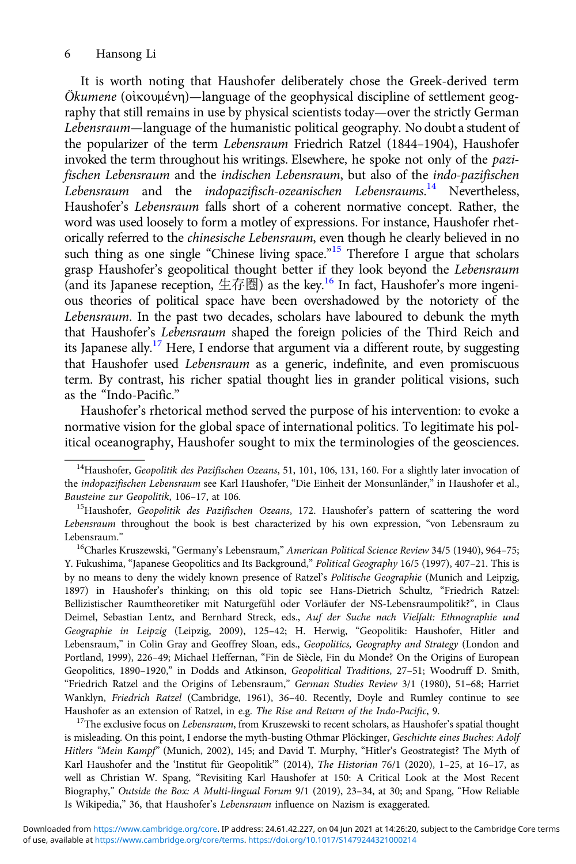It is worth noting that Haushofer deliberately chose the Greek-derived term Ökumene (οἰκουμένη)—language of the geophysical discipline of settlement geography that still remains in use by physical scientists today—over the strictly German Lebensraum—language of the humanistic political geography. No doubt a student of the popularizer of the term Lebensraum Friedrich Ratzel (1844–1904), Haushofer invoked the term throughout his writings. Elsewhere, he spoke not only of the pazifischen Lebensraum and the indischen Lebensraum, but also of the indo-pazifischen Lebensraum and the indopazifisch-ozeanischen Lebensraums.<sup>14</sup> Nevertheless, Haushofer's Lebensraum falls short of a coherent normative concept. Rather, the word was used loosely to form a motley of expressions. For instance, Haushofer rhetorically referred to the chinesische Lebensraum, even though he clearly believed in no such thing as one single "Chinese living space."<sup>15</sup> Therefore I argue that scholars grasp Haushofer's geopolitical thought better if they look beyond the Lebensraum (and its Japanese reception, 生存圏) as the key.<sup>16</sup> In fact, Haushofer's more ingenious theories of political space have been overshadowed by the notoriety of the Lebensraum. In the past two decades, scholars have laboured to debunk the myth that Haushofer's Lebensraum shaped the foreign policies of the Third Reich and its Japanese ally.<sup>17</sup> Here, I endorse that argument via a different route, by suggesting that Haushofer used Lebensraum as a generic, indefinite, and even promiscuous term. By contrast, his richer spatial thought lies in grander political visions, such as the "Indo-Pacific."

Haushofer's rhetorical method served the purpose of his intervention: to evoke a normative vision for the global space of international politics. To legitimate his political oceanography, Haushofer sought to mix the terminologies of the geosciences.

<sup>16</sup>Charles Kruszewski, "Germany's Lebensraum," American Political Science Review 34/5 (1940), 964–75; Y. Fukushima, "Japanese Geopolitics and Its Background," Political Geography 16/5 (1997), 407–21. This is by no means to deny the widely known presence of Ratzel's Politische Geographie (Munich and Leipzig, 1897) in Haushofer's thinking; on this old topic see Hans-Dietrich Schultz, "Friedrich Ratzel: Bellizistischer Raumtheoretiker mit Naturgefühl oder Vorläufer der NS-Lebensraumpolitik?", in Claus Deimel, Sebastian Lentz, and Bernhard Streck, eds., Auf der Suche nach Vielfalt: Ethnographie und Geographie in Leipzig (Leipzig, 2009), 125–42; H. Herwig, "Geopolitik: Haushofer, Hitler and Lebensraum," in Colin Gray and Geoffrey Sloan, eds., Geopolitics, Geography and Strategy (London and Portland, 1999), 226–49; Michael Heffernan, "Fin de Siècle, Fin du Monde? On the Origins of European Geopolitics, 1890–1920," in Dodds and Atkinson, Geopolitical Traditions, 27–51; Woodruff D. Smith, "Friedrich Ratzel and the Origins of Lebensraum," German Studies Review 3/1 (1980), 51–68; Harriet Wanklyn, Friedrich Ratzel (Cambridge, 1961), 36–40. Recently, Doyle and Rumley continue to see Haushofer as an extension of Ratzel, in e.g. *The Rise and Return of the Indo-Pacific*, 9. <sup>17</sup>The exclusive focus on *Lebensraum*, from Kruszewski to recent scholars, as Haushofer's spatial thought

is misleading. On this point, I endorse the myth-busting Othmar Plöckinger, Geschichte eines Buches: Adolf Hitlers "Mein Kampf" (Munich, 2002), 145; and David T. Murphy, "Hitler's Geostrategist? The Myth of Karl Haushofer and the 'Institut für Geopolitik'" (2014), The Historian 76/1 (2020), 1–25, at 16–17, as well as Christian W. Spang, "Revisiting Karl Haushofer at 150: A Critical Look at the Most Recent Biography," Outside the Box: A Multi-lingual Forum 9/1 (2019), 23–34, at 30; and Spang, "How Reliable Is Wikipedia," 36, that Haushofer's Lebensraum influence on Nazism is exaggerated.

<sup>&</sup>lt;sup>14</sup>Haushofer, Geopolitik des Pazifischen Ozeans, 51, 101, 106, 131, 160. For a slightly later invocation of the indopazifischen Lebensraum see Karl Haushofer, "Die Einheit der Monsunländer," in Haushofer et al., Bausteine zur Geopolitik, 106-17, at 106.

<sup>&</sup>lt;sup>15</sup>Haushofer, Geopolitik des Pazifischen Ozeans, 172. Haushofer's pattern of scattering the word Lebensraum throughout the book is best characterized by his own expression, "von Lebensraum zu Lebensraum."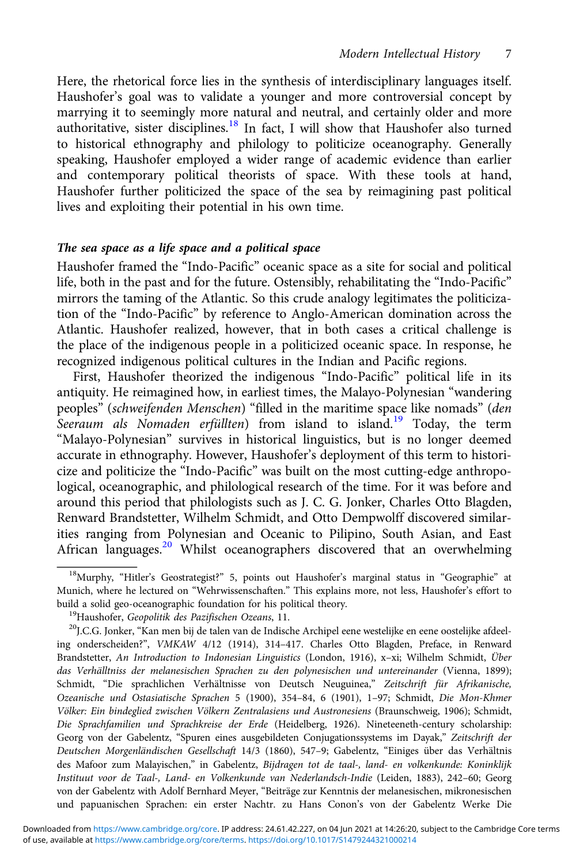Here, the rhetorical force lies in the synthesis of interdisciplinary languages itself. Haushofer's goal was to validate a younger and more controversial concept by marrying it to seemingly more natural and neutral, and certainly older and more authoritative, sister disciplines.<sup>18</sup> In fact, I will show that Haushofer also turned to historical ethnography and philology to politicize oceanography. Generally speaking, Haushofer employed a wider range of academic evidence than earlier and contemporary political theorists of space. With these tools at hand, Haushofer further politicized the space of the sea by reimagining past political lives and exploiting their potential in his own time.

## The sea space as a life space and a political space

Haushofer framed the "Indo-Pacific" oceanic space as a site for social and political life, both in the past and for the future. Ostensibly, rehabilitating the "Indo-Pacific" mirrors the taming of the Atlantic. So this crude analogy legitimates the politicization of the "Indo-Pacific" by reference to Anglo-American domination across the Atlantic. Haushofer realized, however, that in both cases a critical challenge is the place of the indigenous people in a politicized oceanic space. In response, he recognized indigenous political cultures in the Indian and Pacific regions.

First, Haushofer theorized the indigenous "Indo-Pacific" political life in its antiquity. He reimagined how, in earliest times, the Malayo-Polynesian "wandering peoples" (schweifenden Menschen) "filled in the maritime space like nomads" (den Seeraum als Nomaden erfüllten) from island to island.<sup>19</sup> Today, the term "Malayo-Polynesian" survives in historical linguistics, but is no longer deemed accurate in ethnography. However, Haushofer's deployment of this term to historicize and politicize the "Indo-Pacific" was built on the most cutting-edge anthropological, oceanographic, and philological research of the time. For it was before and around this period that philologists such as J. C. G. Jonker, Charles Otto Blagden, Renward Brandstetter, Wilhelm Schmidt, and Otto Dempwolff discovered similarities ranging from Polynesian and Oceanic to Pilipino, South Asian, and East African languages.<sup>20</sup> Whilst oceanographers discovered that an overwhelming

<sup>&</sup>lt;sup>18</sup>Murphy, "Hitler's Geostrategist?" 5, points out Haushofer's marginal status in "Geographie" at Munich, where he lectured on "Wehrwissenschaften." This explains more, not less, Haushofer's effort to build a solid geo-oceanographic foundation for his political theory.<br><sup>19</sup>Haushofer, *Geopolitik des Pazifischen Ozeans*, 11.<br><sup>20</sup>J.C.G. Jonker, "Kan men bij de talen van de Indische Archipel eene westelijke en eene oosteli

ing onderscheiden?", VMKAW 4/12 (1914), 314–417. Charles Otto Blagden, Preface, in Renward Brandstetter, An Introduction to Indonesian Linguistics (London, 1916), x–xi; Wilhelm Schmidt, Über das Verhälltniss der melanesischen Sprachen zu den polynesischen und untereinander (Vienna, 1899); Schmidt, "Die sprachlichen Verhältnisse von Deutsch Neuguinea," Zeitschrift für Afrikanische, Ozeanische und Ostasiatische Sprachen 5 (1900), 354–84, 6 (1901), 1–97; Schmidt, Die Mon-Khmer Völker: Ein bindeglied zwischen Völkern Zentralasiens und Austronesiens (Braunschweig, 1906); Schmidt, Die Sprachfamilien und Sprachkreise der Erde (Heidelberg, 1926). Nineteeneth-century scholarship: Georg von der Gabelentz, "Spuren eines ausgebildeten Conjugationssystems im Dayak," Zeitschrift der Deutschen Morgenländischen Gesellschaft 14/3 (1860), 547–9; Gabelentz, "Einiges über das Verhältnis des Mafoor zum Malayischen," in Gabelentz, Bijdragen tot de taal-, land- en volkenkunde: Koninklijk Instituut voor de Taal-, Land- en Volkenkunde van Nederlandsch-Indie (Leiden, 1883), 242–60; Georg von der Gabelentz with Adolf Bernhard Meyer, "Beiträge zur Kenntnis der melanesischen, mikronesischen und papuanischen Sprachen: ein erster Nachtr. zu Hans Conon's von der Gabelentz Werke Die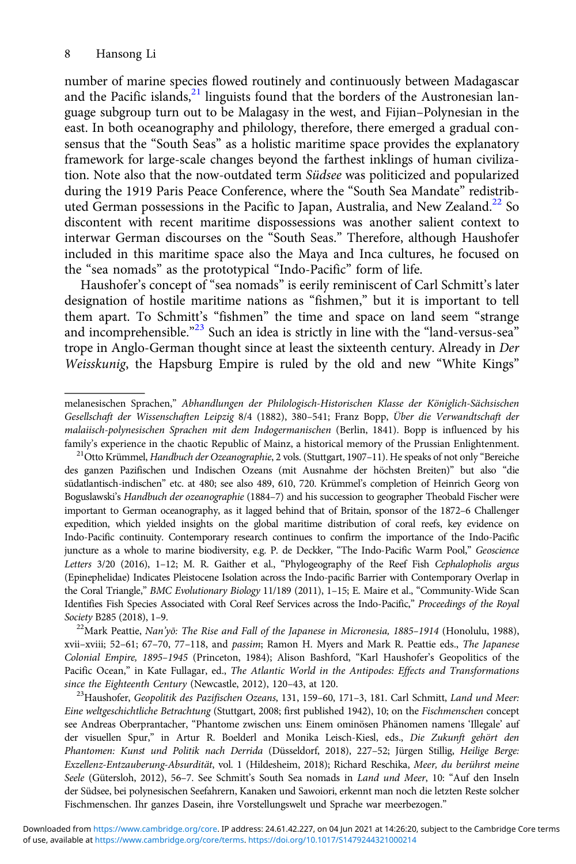number of marine species flowed routinely and continuously between Madagascar and the Pacific islands, $21$  linguists found that the borders of the Austronesian language subgroup turn out to be Malagasy in the west, and Fijian–Polynesian in the east. In both oceanography and philology, therefore, there emerged a gradual consensus that the "South Seas" as a holistic maritime space provides the explanatory framework for large-scale changes beyond the farthest inklings of human civilization. Note also that the now-outdated term Südsee was politicized and popularized during the 1919 Paris Peace Conference, where the "South Sea Mandate" redistributed German possessions in the Pacific to Japan, Australia, and New Zealand.<sup>22</sup> So discontent with recent maritime dispossessions was another salient context to interwar German discourses on the "South Seas." Therefore, although Haushofer included in this maritime space also the Maya and Inca cultures, he focused on the "sea nomads" as the prototypical "Indo-Pacific" form of life.

Haushofer's concept of "sea nomads" is eerily reminiscent of Carl Schmitt's later designation of hostile maritime nations as "fishmen," but it is important to tell them apart. To Schmitt's "fishmen" the time and space on land seem "strange and incomprehensible."<sup>23</sup> Such an idea is strictly in line with the "land-versus-sea" trope in Anglo-German thought since at least the sixteenth century. Already in Der Weisskunig, the Hapsburg Empire is ruled by the old and new "White Kings"

xvii–xviii; 52–61; 67–70, 77–118, and passim; Ramon H. Myers and Mark R. Peattie eds., The Japanese Colonial Empire, 1895–1945 (Princeton, 1984); Alison Bashford, "Karl Haushofer's Geopolitics of the Pacific Ocean," in Kate Fullagar, ed., The Atlantic World in the Antipodes: Effects and Transformations since the Eighteenth Century (Newcastle, 2012), 120–43, at 120.<br><sup>23</sup>Haushofer, Geopolitik des Pazifischen Ozeans, 131, 159–60, 171–3, 181. Carl Schmitt, Land und Meer:

melanesischen Sprachen," Abhandlungen der Philologisch-Historischen Klasse der Königlich-Sächsischen Gesellschaft der Wissenschaften Leipzig 8/4 (1882), 380–541; Franz Bopp, Über die Verwandtschaft der malaiisch-polynesischen Sprachen mit dem Indogermanischen (Berlin, 1841). Bopp is influenced by his family's experience in the chaotic Republic of Mainz, a historical memory of the Prussian Enlightenment.<br><sup>21</sup>Otto Krümmel, *Handbuch der Ozeanographie*, 2 vols. (Stuttgart, 1907–11). He speaks of not only "Bereiche

des ganzen Pazifischen und Indischen Ozeans (mit Ausnahme der höchsten Breiten)" but also "die südatlantisch-indischen" etc. at 480; see also 489, 610, 720. Krümmel's completion of Heinrich Georg von Boguslawski's Handbuch der ozeanographie (1884–7) and his succession to geographer Theobald Fischer were important to German oceanography, as it lagged behind that of Britain, sponsor of the 1872–6 Challenger expedition, which yielded insights on the global maritime distribution of coral reefs, key evidence on Indo-Pacific continuity. Contemporary research continues to confirm the importance of the Indo-Pacific juncture as a whole to marine biodiversity, e.g. P. de Deckker, "The Indo-Pacific Warm Pool," Geoscience Letters 3/20 (2016), 1-12; M. R. Gaither et al., "Phylogeography of the Reef Fish Cephalopholis argus (Epinephelidae) Indicates Pleistocene Isolation across the Indo-pacific Barrier with Contemporary Overlap in the Coral Triangle," BMC Evolutionary Biology 11/189 (2011), 1–15; E. Maire et al., "Community-Wide Scan Identifies Fish Species Associated with Coral Reef Services across the Indo-Pacific," Proceedings of the Royal Society B285 (2018), 1–9.<br><sup>22</sup>Mark Peattie, Nan'yō: The Rise and Fall of the Japanese in Micronesia, 1885–1914 (Honolulu, 1988),

Eine weltgeschichtliche Betrachtung (Stuttgart, 2008; first published 1942), 10; on the Fischmenschen concept see Andreas Oberprantacher, "Phantome zwischen uns: Einem ominösen Phänomen namens 'Illegale' auf der visuellen Spur," in Artur R. Boelderl and Monika Leisch-Kiesl, eds., Die Zukunft gehört den Phantomen: Kunst und Politik nach Derrida (Düsseldorf, 2018), 227–52; Jürgen Stillig, Heilige Berge: Exzellenz-Entzauberung-Absurdität, vol. 1 (Hildesheim, 2018); Richard Reschika, Meer, du berührst meine Seele (Gütersloh, 2012), 56–7. See Schmitt's South Sea nomads in Land und Meer, 10: "Auf den Inseln der Südsee, bei polynesischen Seefahrern, Kanaken und Sawoiori, erkennt man noch die letzten Reste solcher Fischmenschen. Ihr ganzes Dasein, ihre Vorstellungswelt und Sprache war meerbezogen."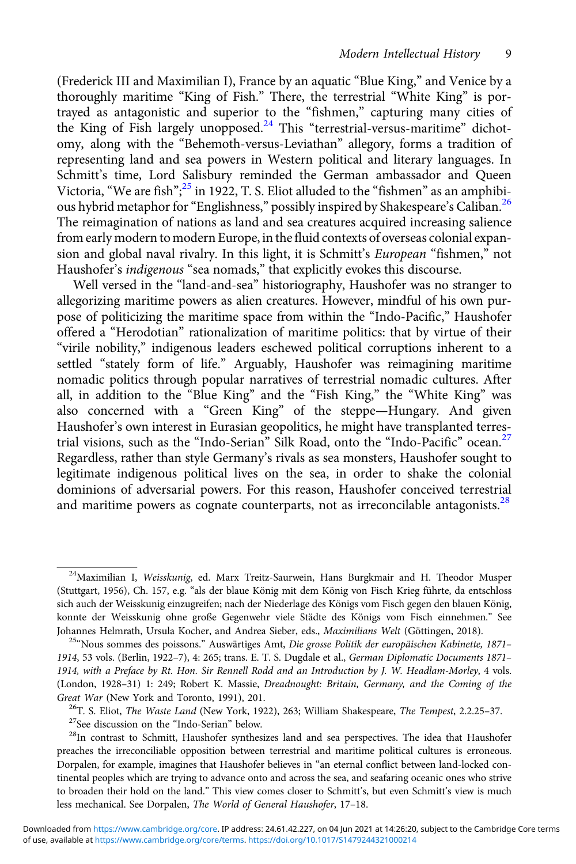(Frederick III and Maximilian I), France by an aquatic "Blue King," and Venice by a thoroughly maritime "King of Fish." There, the terrestrial "White King" is portrayed as antagonistic and superior to the "fishmen," capturing many cities of the King of Fish largely unopposed.<sup>24</sup> This "terrestrial-versus-maritime" dichotomy, along with the "Behemoth-versus-Leviathan" allegory, forms a tradition of representing land and sea powers in Western political and literary languages. In Schmitt's time, Lord Salisbury reminded the German ambassador and Queen Victoria, "We are fish";<sup>25</sup> in 1922, T. S. Eliot alluded to the "fishmen" as an amphibious hybrid metaphor for "Englishness," possibly inspired by Shakespeare's Caliban.<sup>26</sup> The reimagination of nations as land and sea creatures acquired increasing salience from early modern to modern Europe, in the fluid contexts of overseas colonial expansion and global naval rivalry. In this light, it is Schmitt's European "fishmen," not Haushofer's indigenous "sea nomads," that explicitly evokes this discourse.

Well versed in the "land-and-sea" historiography, Haushofer was no stranger to allegorizing maritime powers as alien creatures. However, mindful of his own purpose of politicizing the maritime space from within the "Indo-Pacific," Haushofer offered a "Herodotian" rationalization of maritime politics: that by virtue of their "virile nobility," indigenous leaders eschewed political corruptions inherent to a settled "stately form of life." Arguably, Haushofer was reimagining maritime nomadic politics through popular narratives of terrestrial nomadic cultures. After all, in addition to the "Blue King" and the "Fish King," the "White King" was also concerned with a "Green King" of the steppe—Hungary. And given Haushofer's own interest in Eurasian geopolitics, he might have transplanted terrestrial visions, such as the "Indo-Serian" Silk Road, onto the "Indo-Pacific" ocean.<sup>27</sup> Regardless, rather than style Germany's rivals as sea monsters, Haushofer sought to legitimate indigenous political lives on the sea, in order to shake the colonial dominions of adversarial powers. For this reason, Haushofer conceived terrestrial and maritime powers as cognate counterparts, not as irreconcilable antagonists. $^{28}$ 

<sup>&</sup>lt;sup>24</sup>Maximilian I, Weisskunig, ed. Marx Treitz-Saurwein, Hans Burgkmair and H. Theodor Musper (Stuttgart, 1956), Ch. 157, e.g. "als der blaue König mit dem König von Fisch Krieg führte, da entschloss sich auch der Weisskunig einzugreifen; nach der Niederlage des Königs vom Fisch gegen den blauen König, konnte der Weisskunig ohne große Gegenwehr viele Städte des Königs vom Fisch einnehmen." See Johannes Helmrath, Ursula Kocher, and Andrea Sieber, eds., *Maximilians Welt* (Göttingen, 2018). <sup>25«</sup>Nous sommes des poissons." Auswärtiges Amt, Die grosse Politik der europäischen Kabinette, 1871–

<sup>1914</sup>, 53 vols. (Berlin, 1922–7), 4: 265; trans. E. T. S. Dugdale et al., German Diplomatic Documents 1871– 1914, with a Preface by Rt. Hon. Sir Rennell Rodd and an Introduction by J. W. Headlam-Morley, 4 vols. (London, 1928–31) 1: 249; Robert K. Massie, Dreadnought: Britain, Germany, and the Coming of the Great War (New York and Toronto, 1991), 201.<br><sup>26</sup>T. S. Eliot, *The Waste Land* (New York, 1922), 263; William Shakespeare, *The Tempest*, 2.2.25–37.<br><sup>27</sup>See discussion on the "Indo-Serian" below.<br><sup>28</sup>In contrast to Schmitt

preaches the irreconciliable opposition between terrestrial and maritime political cultures is erroneous. Dorpalen, for example, imagines that Haushofer believes in "an eternal conflict between land-locked continental peoples which are trying to advance onto and across the sea, and seafaring oceanic ones who strive to broaden their hold on the land." This view comes closer to Schmitt's, but even Schmitt's view is much less mechanical. See Dorpalen, The World of General Haushofer, 17–18.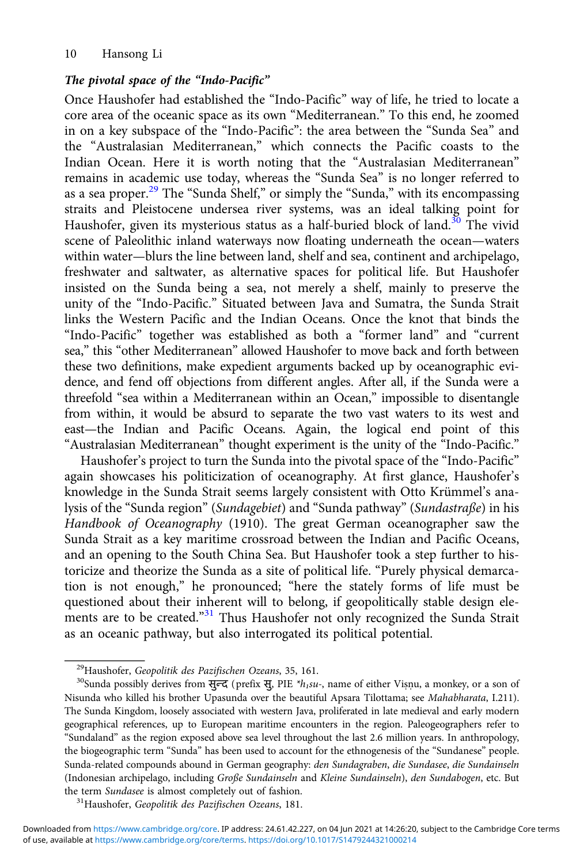#### The pivotal space of the "Indo-Pacific"

Once Haushofer had established the "Indo-Pacific" way of life, he tried to locate a core area of the oceanic space as its own "Mediterranean." To this end, he zoomed in on a key subspace of the "Indo-Pacific": the area between the "Sunda Sea" and the "Australasian Mediterranean," which connects the Pacific coasts to the Indian Ocean. Here it is worth noting that the "Australasian Mediterranean" remains in academic use today, whereas the "Sunda Sea" is no longer referred to as a sea proper.<sup>29</sup> The "Sunda Shelf," or simply the "Sunda," with its encompassing straits and Pleistocene undersea river systems, was an ideal talking point for Haushofer, given its mysterious status as a half-buried block of land.<sup>30</sup> The vivid scene of Paleolithic inland waterways now floating underneath the ocean—waters within water—blurs the line between land, shelf and sea, continent and archipelago, freshwater and saltwater, as alternative spaces for political life. But Haushofer insisted on the Sunda being a sea, not merely a shelf, mainly to preserve the unity of the "Indo-Pacific." Situated between Java and Sumatra, the Sunda Strait links the Western Pacific and the Indian Oceans. Once the knot that binds the "Indo-Pacific" together was established as both a "former land" and "current sea," this "other Mediterranean" allowed Haushofer to move back and forth between these two definitions, make expedient arguments backed up by oceanographic evidence, and fend off objections from different angles. After all, if the Sunda were a threefold "sea within a Mediterranean within an Ocean," impossible to disentangle from within, it would be absurd to separate the two vast waters to its west and east—the Indian and Pacific Oceans. Again, the logical end point of this "Australasian Mediterranean" thought experiment is the unity of the "Indo-Pacific."

Haushofer's project to turn the Sunda into the pivotal space of the "Indo-Pacific" again showcases his politicization of oceanography. At first glance, Haushofer's knowledge in the Sunda Strait seems largely consistent with Otto Krümmel's analysis of the "Sunda region" (Sundagebiet) and "Sunda pathway" (Sundastraße) in his Handbook of Oceanography (1910). The great German oceanographer saw the Sunda Strait as a key maritime crossroad between the Indian and Pacific Oceans, and an opening to the South China Sea. But Haushofer took a step further to historicize and theorize the Sunda as a site of political life. "Purely physical demarcation is not enough," he pronounced; "here the stately forms of life must be questioned about their inherent will to belong, if geopolitically stable design elements are to be created."<sup>31</sup> Thus Haushofer not only recognized the Sunda Strait as an oceanic pathway, but also interrogated its political potential.

<sup>&</sup>lt;sup>29</sup>Haushofer, Geopolitik des Pazifischen Ozeans, 35, 161.<br><sup>30</sup>Sunda possibly derives from सुन्द (prefix सु, PIE \*h<sub>1</sub>su-, name of either Visnu, a monkey, or a son of Nisunda who killed his brother Upasunda over the beautiful Apsara Tilottama; see Mahabharata, I.211). The Sunda Kingdom, loosely associated with western Java, proliferated in late medieval and early modern geographical references, up to European maritime encounters in the region. Paleogeographers refer to "Sundaland" as the region exposed above sea level throughout the last 2.6 million years. In anthropology, the biogeographic term "Sunda" has been used to account for the ethnogenesis of the "Sundanese" people. Sunda-related compounds abound in German geography: den Sundagraben, die Sundasee, die Sundainseln (Indonesian archipelago, including Große Sundainseln and Kleine Sundainseln), den Sundabogen, etc. But

the term *Sundasee* is almost completely out of fashion.<br><sup>31</sup>Haushofer, Geopolitik des Pazifischen Ozeans, 181.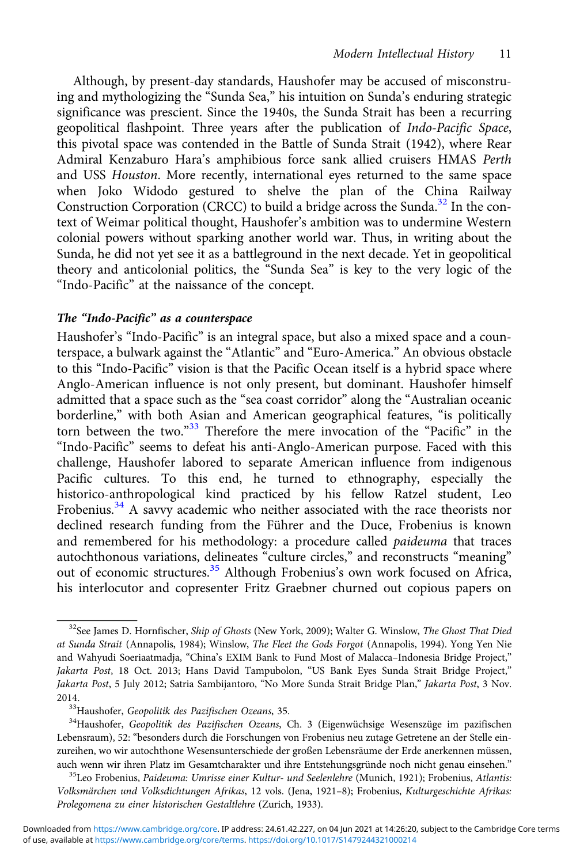Although, by present-day standards, Haushofer may be accused of misconstruing and mythologizing the "Sunda Sea," his intuition on Sunda's enduring strategic significance was prescient. Since the 1940s, the Sunda Strait has been a recurring geopolitical flashpoint. Three years after the publication of Indo-Pacific Space, this pivotal space was contended in the Battle of Sunda Strait (1942), where Rear Admiral Kenzaburo Hara's amphibious force sank allied cruisers HMAS Perth and USS Houston. More recently, international eyes returned to the same space when Joko Widodo gestured to shelve the plan of the China Railway Construction Corporation (CRCC) to build a bridge across the Sunda.<sup>32</sup> In the context of Weimar political thought, Haushofer's ambition was to undermine Western colonial powers without sparking another world war. Thus, in writing about the Sunda, he did not yet see it as a battleground in the next decade. Yet in geopolitical theory and anticolonial politics, the "Sunda Sea" is key to the very logic of the "Indo-Pacific" at the naissance of the concept.

#### The "Indo-Pacific" as a counterspace

Haushofer's "Indo-Pacific" is an integral space, but also a mixed space and a counterspace, a bulwark against the "Atlantic" and "Euro-America." An obvious obstacle to this "Indo-Pacific" vision is that the Pacific Ocean itself is a hybrid space where Anglo-American influence is not only present, but dominant. Haushofer himself admitted that a space such as the "sea coast corridor" along the "Australian oceanic borderline," with both Asian and American geographical features, "is politically torn between the two." <sup>33</sup> Therefore the mere invocation of the "Pacific" in the "Indo-Pacific" seems to defeat his anti-Anglo-American purpose. Faced with this challenge, Haushofer labored to separate American influence from indigenous Pacific cultures. To this end, he turned to ethnography, especially the historico-anthropological kind practiced by his fellow Ratzel student, Leo Frobenius.<sup>34</sup> A savvy academic who neither associated with the race theorists nor declined research funding from the Führer and the Duce, Frobenius is known and remembered for his methodology: a procedure called paideuma that traces autochthonous variations, delineates "culture circles," and reconstructs "meaning" out of economic structures.<sup>35</sup> Although Frobenius's own work focused on Africa, his interlocutor and copresenter Fritz Graebner churned out copious papers on

<sup>&</sup>lt;sup>32</sup>See James D. Hornfischer, Ship of Ghosts (New York, 2009); Walter G. Winslow, The Ghost That Died at Sunda Strait (Annapolis, 1984); Winslow, The Fleet the Gods Forgot (Annapolis, 1994). Yong Yen Nie and Wahyudi Soeriaatmadja, "China's EXIM Bank to Fund Most of Malacca–Indonesia Bridge Project," Jakarta Post, 18 Oct. 2013; Hans David Tampubolon, "US Bank Eyes Sunda Strait Bridge Project," Jakarta Post, 5 July 2012; Satria Sambijantoro, "No More Sunda Strait Bridge Plan," Jakarta Post, 3 Nov. 2014.<br><sup>33</sup>Haushofer, G*eopolitik des Pazifischen Ozeans*, 35.<br><sup>34</sup>Haushofer, G*eopolitik des Pazifischen Ozeans*, Ch. 3 (Eigenwüchsige Wesenszüge im pazifischen

Lebensraum), 52: "besonders durch die Forschungen von Frobenius neu zutage Getretene an der Stelle einzureihen, wo wir autochthone Wesensunterschiede der großen Lebensräume der Erde anerkennen müssen, auch wenn wir ihren Platz im Gesamtcharakter und ihre Entstehungsgründe noch nicht genau einsehen." <sup>35</sup>Leo Frobenius, *Paideuma: Umrisse einer Kultur- und Seelenlehre* (Munich, 1921); Frobenius, Atlantis:

Volksmärchen und Volksdichtungen Afrikas, 12 vols. (Jena, 1921–8); Frobenius, Kulturgeschichte Afrikas: Prolegomena zu einer historischen Gestaltlehre (Zurich, 1933).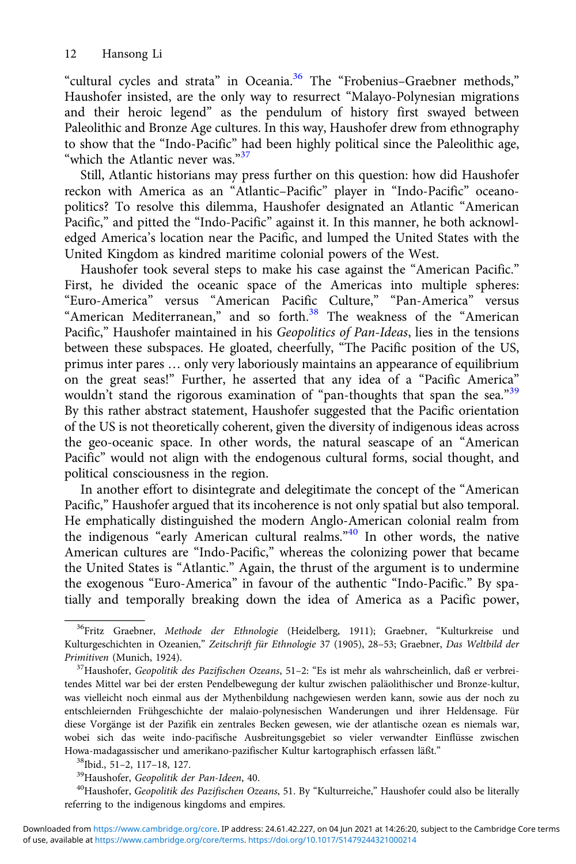"cultural cycles and strata" in Oceania.<sup>36</sup> The "Frobenius-Graebner methods," Haushofer insisted, are the only way to resurrect "Malayo-Polynesian migrations and their heroic legend" as the pendulum of history first swayed between Paleolithic and Bronze Age cultures. In this way, Haushofer drew from ethnography to show that the "Indo-Pacific" had been highly political since the Paleolithic age, "which the Atlantic never was."<sup>37</sup>

Still, Atlantic historians may press further on this question: how did Haushofer reckon with America as an "Atlantic–Pacific" player in "Indo-Pacific" oceanopolitics? To resolve this dilemma, Haushofer designated an Atlantic "American Pacific," and pitted the "Indo-Pacific" against it. In this manner, he both acknowledged America's location near the Pacific, and lumped the United States with the United Kingdom as kindred maritime colonial powers of the West.

Haushofer took several steps to make his case against the "American Pacific." First, he divided the oceanic space of the Americas into multiple spheres: "Euro-America" versus "American Pacific Culture," "Pan-America" versus "American Mediterranean," and so forth.<sup>38</sup> The weakness of the "American Pacific," Haushofer maintained in his Geopolitics of Pan-Ideas, lies in the tensions between these subspaces. He gloated, cheerfully, "The Pacific position of the US, primus inter pares … only very laboriously maintains an appearance of equilibrium on the great seas!" Further, he asserted that any idea of a "Pacific America" wouldn't stand the rigorous examination of "pan-thoughts that span the sea."<sup>39</sup> By this rather abstract statement, Haushofer suggested that the Pacific orientation of the US is not theoretically coherent, given the diversity of indigenous ideas across the geo-oceanic space. In other words, the natural seascape of an "American Pacific" would not align with the endogenous cultural forms, social thought, and political consciousness in the region.

In another effort to disintegrate and delegitimate the concept of the "American Pacific," Haushofer argued that its incoherence is not only spatial but also temporal. He emphatically distinguished the modern Anglo-American colonial realm from the indigenous "early American cultural realms."<sup>40</sup> In other words, the native American cultures are "Indo-Pacific," whereas the colonizing power that became the United States is "Atlantic." Again, the thrust of the argument is to undermine the exogenous "Euro-America" in favour of the authentic "Indo-Pacific." By spatially and temporally breaking down the idea of America as a Pacific power,

referring to the indigenous kingdoms and empires.

<sup>&</sup>lt;sup>36</sup>Fritz Graebner, Methode der Ethnologie (Heidelberg, 1911); Graebner, "Kulturkreise und Kulturgeschichten in Ozeanien," Zeitschrift für Ethnologie 37 (1905), 28-53; Graebner, Das Weltbild der Primitiven (Munich, 1924).

<sup>&</sup>lt;sup>37</sup>Haushofer, Geopolitik des Pazifischen Ozeans, 51-2: "Es ist mehr als wahrscheinlich, daß er verbreitendes Mittel war bei der ersten Pendelbewegung der kultur zwischen paläolithischer und Bronze-kultur, was vielleicht noch einmal aus der Mythenbildung nachgewiesen werden kann, sowie aus der noch zu entschleiernden Frühgeschichte der malaio-polynesischen Wanderungen und ihrer Heldensage. Für diese Vorgänge ist der Pazifik ein zentrales Becken gewesen, wie der atlantische ozean es niemals war, wobei sich das weite indo-pacifische Ausbreitungsgebiet so vieler verwandter Einflüsse zwischen Howa-madagassischer und amerikano-pazifischer Kultur kartographisch erfassen läßt."<br><sup>38</sup>lbid., 51–2, 117–18, 127.<br><sup>39</sup>Haushofer, Geopolitik der Pan-Ideen, 40.<br><sup>40</sup>Haushofer, Geopolitik des Pazifischen Ozeans, 51. By "Kultu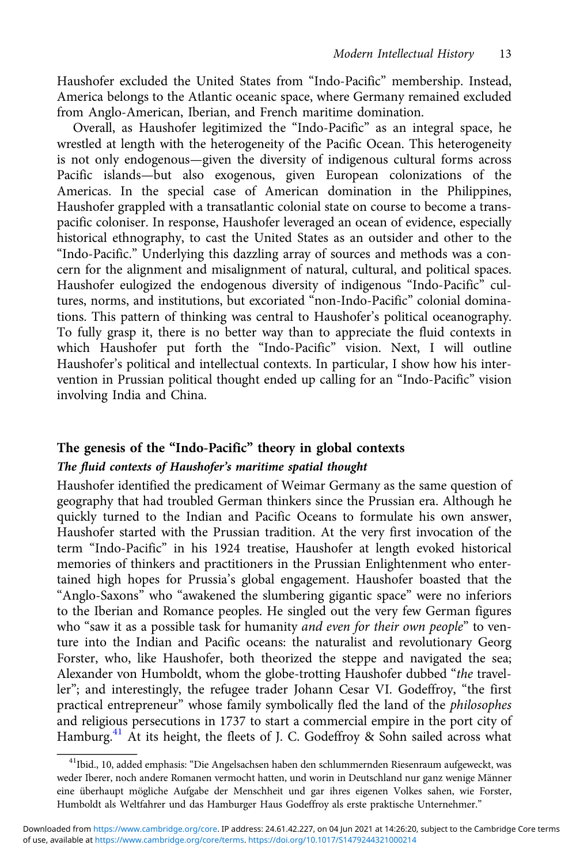Haushofer excluded the United States from "Indo-Pacific" membership. Instead, America belongs to the Atlantic oceanic space, where Germany remained excluded from Anglo-American, Iberian, and French maritime domination.

Overall, as Haushofer legitimized the "Indo-Pacific" as an integral space, he wrestled at length with the heterogeneity of the Pacific Ocean. This heterogeneity is not only endogenous—given the diversity of indigenous cultural forms across Pacific islands—but also exogenous, given European colonizations of the Americas. In the special case of American domination in the Philippines, Haushofer grappled with a transatlantic colonial state on course to become a transpacific coloniser. In response, Haushofer leveraged an ocean of evidence, especially historical ethnography, to cast the United States as an outsider and other to the "Indo-Pacific." Underlying this dazzling array of sources and methods was a concern for the alignment and misalignment of natural, cultural, and political spaces. Haushofer eulogized the endogenous diversity of indigenous "Indo-Pacific" cultures, norms, and institutions, but excoriated "non-Indo-Pacific" colonial dominations. This pattern of thinking was central to Haushofer's political oceanography. To fully grasp it, there is no better way than to appreciate the fluid contexts in which Haushofer put forth the "Indo-Pacific" vision. Next, I will outline Haushofer's political and intellectual contexts. In particular, I show how his intervention in Prussian political thought ended up calling for an "Indo-Pacific" vision involving India and China.

# The genesis of the "Indo-Pacific" theory in global contexts The fluid contexts of Haushofer's maritime spatial thought

Haushofer identified the predicament of Weimar Germany as the same question of geography that had troubled German thinkers since the Prussian era. Although he quickly turned to the Indian and Pacific Oceans to formulate his own answer, Haushofer started with the Prussian tradition. At the very first invocation of the term "Indo-Pacific" in his 1924 treatise, Haushofer at length evoked historical memories of thinkers and practitioners in the Prussian Enlightenment who entertained high hopes for Prussia's global engagement. Haushofer boasted that the "Anglo-Saxons" who "awakened the slumbering gigantic space" were no inferiors to the Iberian and Romance peoples. He singled out the very few German figures who "saw it as a possible task for humanity and even for their own people" to venture into the Indian and Pacific oceans: the naturalist and revolutionary Georg Forster, who, like Haushofer, both theorized the steppe and navigated the sea; Alexander von Humboldt, whom the globe-trotting Haushofer dubbed "the traveller"; and interestingly, the refugee trader Johann Cesar VI. Godeffroy, "the first practical entrepreneur" whose family symbolically fled the land of the philosophes and religious persecutions in 1737 to start a commercial empire in the port city of Hamburg.<sup>41</sup> At its height, the fleets of J. C. Godeffroy & Sohn sailed across what

<sup>&</sup>lt;sup>41</sup>Ibid., 10, added emphasis: "Die Angelsachsen haben den schlummernden Riesenraum aufgeweckt, was weder Iberer, noch andere Romanen vermocht hatten, und worin in Deutschland nur ganz wenige Männer eine überhaupt mögliche Aufgabe der Menschheit und gar ihres eigenen Volkes sahen, wie Forster, Humboldt als Weltfahrer und das Hamburger Haus Godeffroy als erste praktische Unternehmer."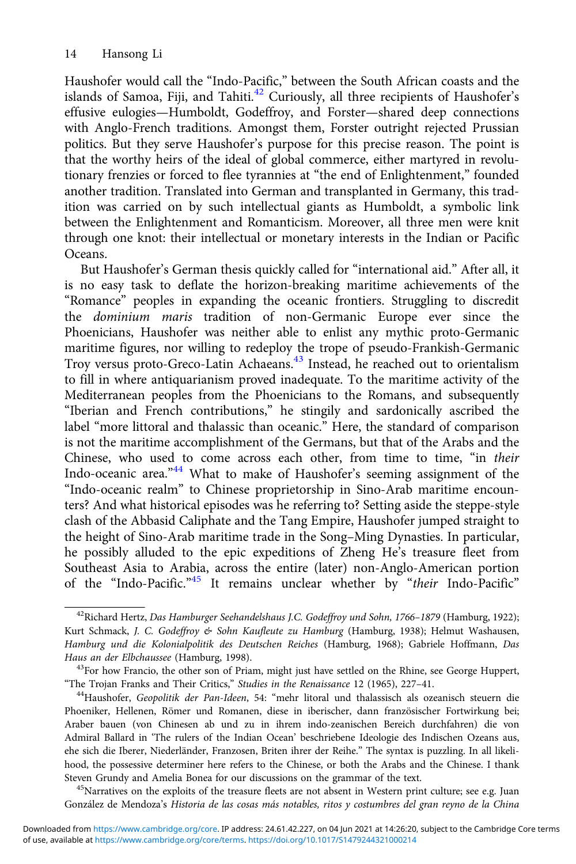Haushofer would call the "Indo-Pacific," between the South African coasts and the islands of Samoa, Fiji, and Tahiti. $42$  Curiously, all three recipients of Haushofer's effusive eulogies—Humboldt, Godeffroy, and Forster—shared deep connections with Anglo-French traditions. Amongst them, Forster outright rejected Prussian politics. But they serve Haushofer's purpose for this precise reason. The point is that the worthy heirs of the ideal of global commerce, either martyred in revolutionary frenzies or forced to flee tyrannies at "the end of Enlightenment," founded another tradition. Translated into German and transplanted in Germany, this tradition was carried on by such intellectual giants as Humboldt, a symbolic link between the Enlightenment and Romanticism. Moreover, all three men were knit through one knot: their intellectual or monetary interests in the Indian or Pacific Oceans.

But Haushofer's German thesis quickly called for "international aid." After all, it is no easy task to deflate the horizon-breaking maritime achievements of the "Romance" peoples in expanding the oceanic frontiers. Struggling to discredit the dominium maris tradition of non-Germanic Europe ever since the Phoenicians, Haushofer was neither able to enlist any mythic proto-Germanic maritime figures, nor willing to redeploy the trope of pseudo-Frankish-Germanic Troy versus proto-Greco-Latin Achaeans.<sup>43</sup> Instead, he reached out to orientalism to fill in where antiquarianism proved inadequate. To the maritime activity of the Mediterranean peoples from the Phoenicians to the Romans, and subsequently "Iberian and French contributions," he stingily and sardonically ascribed the label "more littoral and thalassic than oceanic." Here, the standard of comparison is not the maritime accomplishment of the Germans, but that of the Arabs and the Chinese, who used to come across each other, from time to time, "in their Indo-oceanic area."<sup>44</sup> What to make of Haushofer's seeming assignment of the "Indo-oceanic realm" to Chinese proprietorship in Sino-Arab maritime encounters? And what historical episodes was he referring to? Setting aside the steppe-style clash of the Abbasid Caliphate and the Tang Empire, Haushofer jumped straight to the height of Sino-Arab maritime trade in the Song–Ming Dynasties. In particular, he possibly alluded to the epic expeditions of Zheng He's treasure fleet from Southeast Asia to Arabia, across the entire (later) non-Anglo-American portion of the "Indo-Pacific."<sup>45</sup> It remains unclear whether by "their Indo-Pacific"

González de Mendoza's Historia de las cosas más notables, ritos y costumbres del gran reyno de la China

<sup>&</sup>lt;sup>42</sup>Richard Hertz, Das Hamburger Seehandelshaus J.C. Godeffroy und Sohn, 1766–1879 (Hamburg, 1922); Kurt Schmack, J. C. Godeffroy & Sohn Kaufleute zu Hamburg (Hamburg, 1938); Helmut Washausen, Hamburg und die Kolonialpolitik des Deutschen Reiches (Hamburg, 1968); Gabriele Hoffmann, Das Haus an der Elbchaussee (Hamburg, 1998).

<sup>&</sup>lt;sup>43</sup>For how Francio, the other son of Priam, might just have settled on the Rhine, see George Huppert, "The Trojan Franks and Their Critics," Studies in the Renaissance 12 (1965), 227–41. 44Haushofer, Geopolitik der Pan-Ideen, 54: "mehr litoral und thalassisch als ozeanisch steuern die

Phoeniker, Hellenen, Römer und Romanen, diese in iberischer, dann französischer Fortwirkung bei; Araber bauen (von Chinesen ab und zu in ihrem indo-zeanischen Bereich durchfahren) die von Admiral Ballard in 'The rulers of the Indian Ocean' beschriebene Ideologie des Indischen Ozeans aus, ehe sich die Iberer, Niederländer, Franzosen, Briten ihrer der Reihe." The syntax is puzzling. In all likelihood, the possessive determiner here refers to the Chinese, or both the Arabs and the Chinese. I thank Steven Grundy and Amelia Bonea for our discussions on the grammar of the text.<br><sup>45</sup>Narratives on the exploits of the treasure fleets are not absent in Western print culture; see e.g. Juan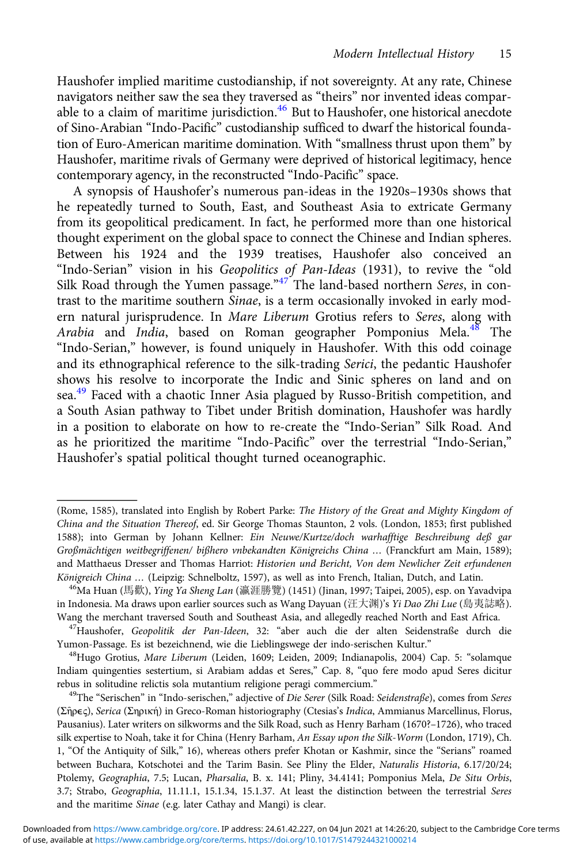Haushofer implied maritime custodianship, if not sovereignty. At any rate, Chinese navigators neither saw the sea they traversed as "theirs" nor invented ideas comparable to a claim of maritime jurisdiction.<sup>46</sup> But to Haushofer, one historical anecdote of Sino-Arabian "Indo-Pacific" custodianship sufficed to dwarf the historical foundation of Euro-American maritime domination. With "smallness thrust upon them" by Haushofer, maritime rivals of Germany were deprived of historical legitimacy, hence contemporary agency, in the reconstructed "Indo-Pacific" space.

A synopsis of Haushofer's numerous pan-ideas in the 1920s–1930s shows that he repeatedly turned to South, East, and Southeast Asia to extricate Germany from its geopolitical predicament. In fact, he performed more than one historical thought experiment on the global space to connect the Chinese and Indian spheres. Between his 1924 and the 1939 treatises, Haushofer also conceived an "Indo-Serian" vision in his Geopolitics of Pan-Ideas (1931), to revive the "old Silk Road through the Yumen passage."<sup>47</sup> The land-based northern Seres, in contrast to the maritime southern Sinae, is a term occasionally invoked in early modern natural jurisprudence. In Mare Liberum Grotius refers to Seres, along with Arabia and India, based on Roman geographer Pomponius Mela.<sup>48</sup> The "Indo-Serian," however, is found uniquely in Haushofer. With this odd coinage and its ethnographical reference to the silk-trading Serici, the pedantic Haushofer shows his resolve to incorporate the Indic and Sinic spheres on land and on sea.<sup>49</sup> Faced with a chaotic Inner Asia plagued by Russo-British competition, and a South Asian pathway to Tibet under British domination, Haushofer was hardly in a position to elaborate on how to re-create the "Indo-Serian" Silk Road. And as he prioritized the maritime "Indo-Pacific" over the terrestrial "Indo-Serian," Haushofer's spatial political thought turned oceanographic.

<sup>(</sup>Rome, 1585), translated into English by Robert Parke: The History of the Great and Mighty Kingdom of China and the Situation Thereof, ed. Sir George Thomas Staunton, 2 vols. (London, 1853; first published 1588); into German by Johann Kellner: Ein Neuwe/Kurtze/doch warhafftige Beschreibung deß gar Großmächtigen weitbegriffenen/ bißhero vnbekandten Königreichs China … (Franckfurt am Main, 1589); and Matthaeus Dresser and Thomas Harriot: Historien und Bericht, Von dem Newlicher Zeit erfundenen<br>Königreich China ... (Leipzig: Schnelboltz, 1597), as well as into French, Italian, Dutch, and Latin.

<sup>&</sup>lt;sup>46</sup>Ma Huan (馬歡), *Ying Ya Sheng Lan* (瀛涯勝覽) (1451) (Jinan, 1997; Taipei, 2005), esp. on Yavadvipa in Indonesia. Ma draws upon earlier sources such as Wang Dayuan (汪大渊)'s *Yi Dao Zhi Lue* (島夷誌略).<br>Wang the merchant traversed South and Southeast Asia, and allegedly reached North and East Africa.

<sup>&</sup>lt;sup>47</sup>Haushofer, Geopolitik der Pan-Ideen, 32: "aber auch die der alten Seidenstraße durch die Yumon-Passage. Es ist bezeichnend, wie die Lieblingswege der indo-serischen Kultur." 48Hugo Grotius, Mare Liberum (Leiden, 1609; Leiden, 2009; Indianapolis, 2004) Cap. 5: "solamque

Indiam quingenties sestertium, si Arabiam addas et Seres," Cap. 8, "quo fere modo apud Seres dicitur rebus in solitudine relictis sola mutantium religione peragi commercium."<br><sup>49</sup>The "Serischen" in "Indo-serischen," adjective of Die Serer (Silk Road: Seidenstraße), comes from Seres

<sup>(</sup>Σῆρϵς), Serica (Σηρική) in Greco-Roman historiography (Ctesias's Indica, Ammianus Marcellinus, Florus, Pausanius). Later writers on silkworms and the Silk Road, such as Henry Barham (1670?–1726), who traced silk expertise to Noah, take it for China (Henry Barham, An Essay upon the Silk-Worm (London, 1719), Ch. 1, "Of the Antiquity of Silk," 16), whereas others prefer Khotan or Kashmir, since the "Serians" roamed between Buchara, Kotschotei and the Tarim Basin. See Pliny the Elder, Naturalis Historia, 6.17/20/24; Ptolemy, Geographia, 7.5; Lucan, Pharsalia, B. x. 141; Pliny, 34.4141; Pomponius Mela, De Situ Orbis, 3.7; Strabo, Geographia, 11.11.1, 15.1.34, 15.1.37. At least the distinction between the terrestrial Seres and the maritime Sinae (e.g. later Cathay and Mangi) is clear.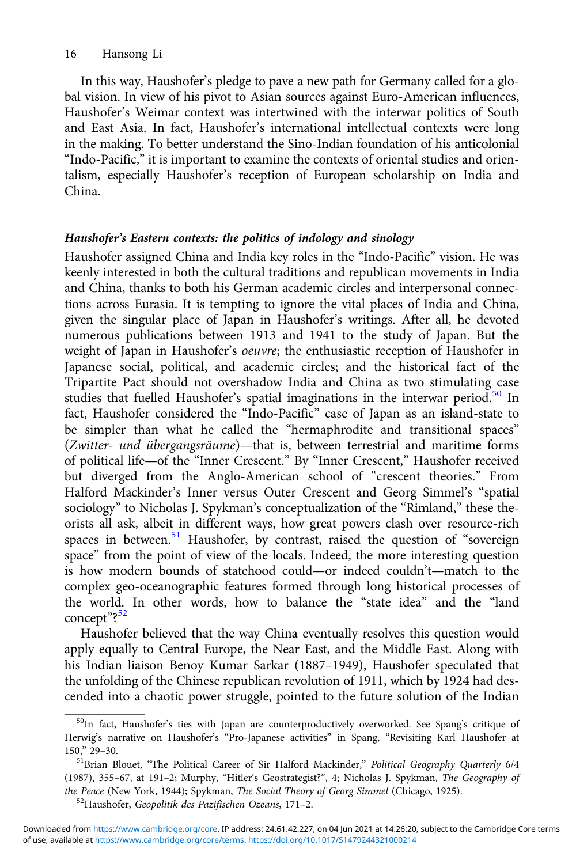In this way, Haushofer's pledge to pave a new path for Germany called for a global vision. In view of his pivot to Asian sources against Euro-American influences, Haushofer's Weimar context was intertwined with the interwar politics of South and East Asia. In fact, Haushofer's international intellectual contexts were long in the making. To better understand the Sino-Indian foundation of his anticolonial "Indo-Pacific," it is important to examine the contexts of oriental studies and orientalism, especially Haushofer's reception of European scholarship on India and China.

### Haushofer's Eastern contexts: the politics of indology and sinology

Haushofer assigned China and India key roles in the "Indo-Pacific" vision. He was keenly interested in both the cultural traditions and republican movements in India and China, thanks to both his German academic circles and interpersonal connections across Eurasia. It is tempting to ignore the vital places of India and China, given the singular place of Japan in Haushofer's writings. After all, he devoted numerous publications between 1913 and 1941 to the study of Japan. But the weight of Japan in Haushofer's oeuvre; the enthusiastic reception of Haushofer in Japanese social, political, and academic circles; and the historical fact of the Tripartite Pact should not overshadow India and China as two stimulating case studies that fuelled Haushofer's spatial imaginations in the interwar period.<sup>50</sup> In fact, Haushofer considered the "Indo-Pacific" case of Japan as an island-state to be simpler than what he called the "hermaphrodite and transitional spaces" (Zwitter- und übergangsräume)—that is, between terrestrial and maritime forms of political life—of the "Inner Crescent." By "Inner Crescent," Haushofer received but diverged from the Anglo-American school of "crescent theories." From Halford Mackinder's Inner versus Outer Crescent and Georg Simmel's "spatial sociology" to Nicholas J. Spykman's conceptualization of the "Rimland," these theorists all ask, albeit in different ways, how great powers clash over resource-rich spaces in between.<sup>51</sup> Haushofer, by contrast, raised the question of "sovereign space" from the point of view of the locals. Indeed, the more interesting question is how modern bounds of statehood could—or indeed couldn't—match to the complex geo-oceanographic features formed through long historical processes of the world. In other words, how to balance the "state idea" and the "land concept"? 52

Haushofer believed that the way China eventually resolves this question would apply equally to Central Europe, the Near East, and the Middle East. Along with his Indian liaison Benoy Kumar Sarkar (1887–1949), Haushofer speculated that the unfolding of the Chinese republican revolution of 1911, which by 1924 had descended into a chaotic power struggle, pointed to the future solution of the Indian

<sup>&</sup>lt;sup>50</sup>In fact, Haushofer's ties with Japan are counterproductively overworked. See Spang's critique of Herwig's narrative on Haushofer's "Pro-Japanese activities" in Spang, "Revisiting Karl Haushofer at 150," 29–30.<br><sup>51</sup>Brian Blouet, "The Political Career of Sir Halford Mackinder," *Political Geography Quarterly 6*/4

<sup>(1987), 355</sup>–67, at 191–2; Murphy, "Hitler's Geostrategist?", 4; Nicholas J. Spykman, The Geography of the Peace (New York, 1944); Spykman, The Social Theory of Georg Simmel (Chicago, 1925).<br><sup>52</sup>Haushofer, Geopolitik des Pazifischen Ozeans, 171–2.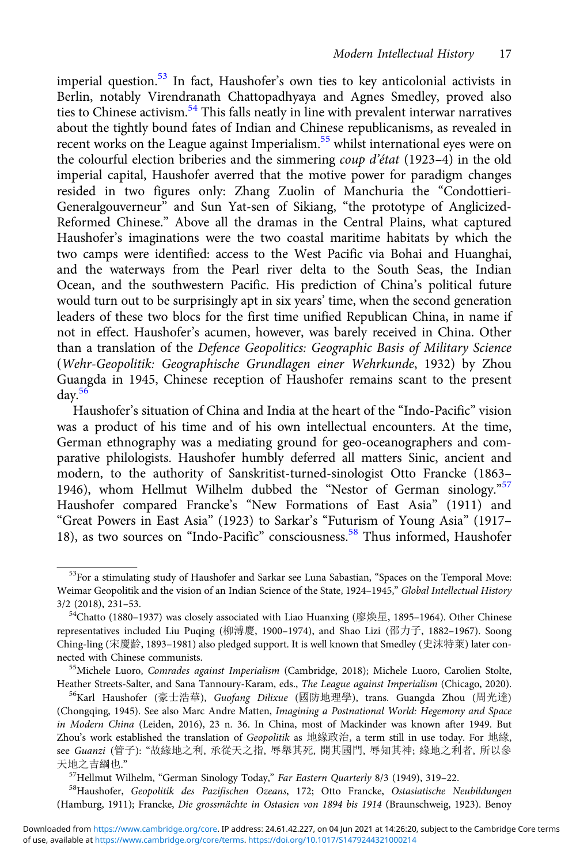imperial question.<sup>53</sup> In fact, Haushofer's own ties to key anticolonial activists in Berlin, notably Virendranath Chattopadhyaya and Agnes Smedley, proved also ties to Chinese activism.<sup>54</sup> This falls neatly in line with prevalent interwar narratives about the tightly bound fates of Indian and Chinese republicanisms, as revealed in recent works on the League against Imperialism.55 whilst international eyes were on the colourful election briberies and the simmering coup d'état (1923–4) in the old imperial capital, Haushofer averred that the motive power for paradigm changes resided in two figures only: Zhang Zuolin of Manchuria the "Condottieri-Generalgouverneur" and Sun Yat-sen of Sikiang, "the prototype of Anglicized-Reformed Chinese." Above all the dramas in the Central Plains, what captured Haushofer's imaginations were the two coastal maritime habitats by which the two camps were identified: access to the West Pacific via Bohai and Huanghai, and the waterways from the Pearl river delta to the South Seas, the Indian Ocean, and the southwestern Pacific. His prediction of China's political future would turn out to be surprisingly apt in six years' time, when the second generation leaders of these two blocs for the first time unified Republican China, in name if not in effect. Haushofer's acumen, however, was barely received in China. Other than a translation of the Defence Geopolitics: Geographic Basis of Military Science (Wehr-Geopolitik: Geographische Grundlagen einer Wehrkunde, 1932) by Zhou Guangda in 1945, Chinese reception of Haushofer remains scant to the present  $day.<sup>56</sup>$ 

Haushofer's situation of China and India at the heart of the "Indo-Pacific" vision was a product of his time and of his own intellectual encounters. At the time, German ethnography was a mediating ground for geo-oceanographers and comparative philologists. Haushofer humbly deferred all matters Sinic, ancient and modern, to the authority of Sanskritist-turned-sinologist Otto Francke (1863– 1946), whom Hellmut Wilhelm dubbed the "Nestor of German sinology."<sup>57</sup> Haushofer compared Francke's "New Formations of East Asia" (1911) and "Great Powers in East Asia" (1923) to Sarkar's "Futurism of Young Asia" (1917– 18), as two sources on "Indo-Pacific" consciousness.<sup>58</sup> Thus informed, Haushofer

(Hamburg, 1911); Francke, Die grossmächte in Ostasien von 1894 bis 1914 (Braunschweig, 1923). Benoy

<sup>&</sup>lt;sup>53</sup>For a stimulating study of Haushofer and Sarkar see Luna Sabastian, "Spaces on the Temporal Move: Weimar Geopolitik and the vision of an Indian Science of the State, 1924–1945," Global Intellectual History 3/2 (2018), 231–53.<br><sup>54</sup>Chatto (1880–1937) was closely associated with Liao Huanxing (廖焕星, 1895–1964). Other Chinese

representatives included Liu Puqing (柳溥慶, 1900–1974), and Shao Lizi (邵力子, 1882–1967). Soong Ching-ling (宋慶齡, 1893–1981) also pledged support. It is well known that Smedley (史沫特萊) later con-

<sup>55</sup>Michele Luoro, Comrades against Imperialism (Cambridge, 2018); Michele Luoro, Carolien Stolte, Heather Streets-Salter, and Sana Tannoury-Karam, eds., The League against Imperialism (Chicago, 2020).<br><sup>56</sup>Karl Haushofer (豪士浩華), Guofang Dilixue (國防地理學), trans. Guangda Zhou (周光達)

<sup>(</sup>Chongqing, 1945). See also Marc Andre Matten, Imagining a Postnational World: Hegemony and Space in Modern China (Leiden, 2016), 23 n. 36. In China, most of Mackinder was known after 1949. But Zhou's work established the translation of Geopolitik as 地緣政治, a term still in use today. For 地緣, see Guanzi (管子): "故緣地之利, 承從天之指, 辱舉其死, 開其國門, 辱知其神; 緣地之利者, 所以參 天地之吉綱也."<br><sup>57</sup>Hellmut Wilhelm, "German Sinology Today," *Far Eastern Quarterly* 8/3 (1949), 319–22.<br><sup>58</sup>Haushofer, *Geopolitik des Pazifischen Ozeans*, 172; Otto Francke, *Ostasiatische Neubildungen*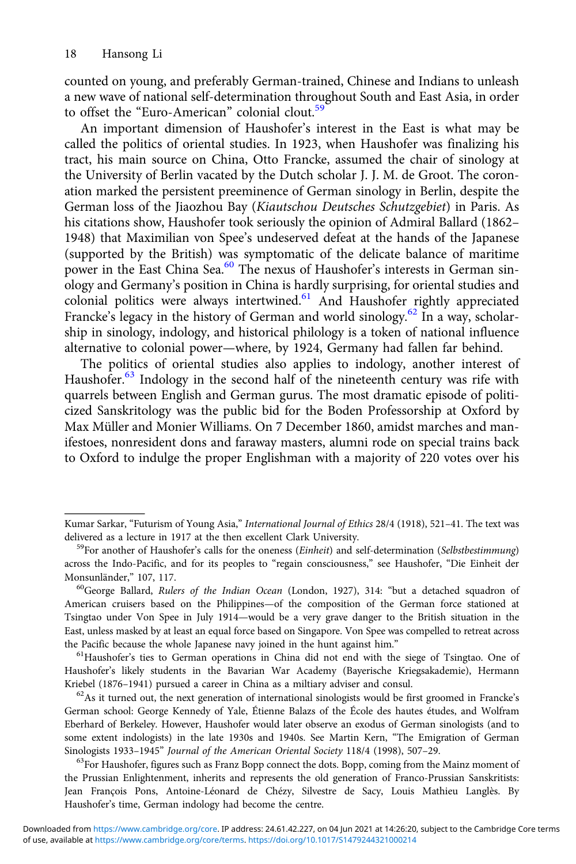counted on young, and preferably German-trained, Chinese and Indians to unleash a new wave of national self-determination throughout South and East Asia, in order to offset the "Euro-American" colonial clout.<sup>59</sup>

An important dimension of Haushofer's interest in the East is what may be called the politics of oriental studies. In 1923, when Haushofer was finalizing his tract, his main source on China, Otto Francke, assumed the chair of sinology at the University of Berlin vacated by the Dutch scholar J. J. M. de Groot. The coronation marked the persistent preeminence of German sinology in Berlin, despite the German loss of the Jiaozhou Bay (Kiautschou Deutsches Schutzgebiet) in Paris. As his citations show, Haushofer took seriously the opinion of Admiral Ballard (1862– 1948) that Maximilian von Spee's undeserved defeat at the hands of the Japanese (supported by the British) was symptomatic of the delicate balance of maritime power in the East China Sea.<sup>60</sup> The nexus of Haushofer's interests in German sinology and Germany's position in China is hardly surprising, for oriental studies and colonial politics were always intertwined. $61$  And Haushofer rightly appreciated Francke's legacy in the history of German and world sinology.<sup>62</sup> In a way, scholarship in sinology, indology, and historical philology is a token of national influence alternative to colonial power—where, by 1924, Germany had fallen far behind.

The politics of oriental studies also applies to indology, another interest of Haushofer.<sup>63</sup> Indology in the second half of the nineteenth century was rife with quarrels between English and German gurus. The most dramatic episode of politicized Sanskritology was the public bid for the Boden Professorship at Oxford by Max Müller and Monier Williams. On 7 December 1860, amidst marches and manifestoes, nonresident dons and faraway masters, alumni rode on special trains back to Oxford to indulge the proper Englishman with a majority of 220 votes over his

Haushofer's likely students in the Bavarian War Academy (Bayerische Kriegsakademie), Hermann Kriebel (1876–1941) pursued a career in China as a miltiary adviser and consul.<br><sup>62</sup>As it turned out, the next generation of international sinologists would be first groomed in Francke's

German school: George Kennedy of Yale, Étienne Balazs of the École des hautes études, and Wolfram Eberhard of Berkeley. However, Haushofer would later observe an exodus of German sinologists (and to some extent indologists) in the late 1930s and 1940s. See Martin Kern, "The Emigration of German Sinologists 1933–1945" *Journal of the American Oriental Society* 118/4 (1998), 507–29.<br><sup>63</sup>For Haushofer, figures such as Franz Bopp connect the dots. Bopp, coming from the Mainz moment of

the Prussian Enlightenment, inherits and represents the old generation of Franco-Prussian Sanskritists: Jean François Pons, Antoine-Léonard de Chézy, Silvestre de Sacy, Louis Mathieu Langlès. By Haushofer's time, German indology had become the centre.

Kumar Sarkar, "Futurism of Young Asia," *International Journal of Ethics* 28/4 (1918), 521-41. The text was delivered as a lecture in 1917 at the then excellent Clark University.

 $^{59}$ For another of Haushofer's calls for the oneness (Einheit) and self-determination (Selbstbestimmung) across the Indo-Pacific, and for its peoples to "regain consciousness," see Haushofer, "Die Einheit der Monsunländer," 107, 117.<br><sup>60</sup>George Ballard, *Rulers of the Indian Ocean* (London, 1927), 314: "but a detached squadron of

American cruisers based on the Philippines—of the composition of the German force stationed at Tsingtao under Von Spee in July 1914—would be a very grave danger to the British situation in the East, unless masked by at least an equal force based on Singapore. Von Spee was compelled to retreat across the Pacific because the whole Japanese navy joined in the hunt against him."<br><sup>61</sup>Haushofer's ties to German operations in China did not end with the siege of Tsingtao. One of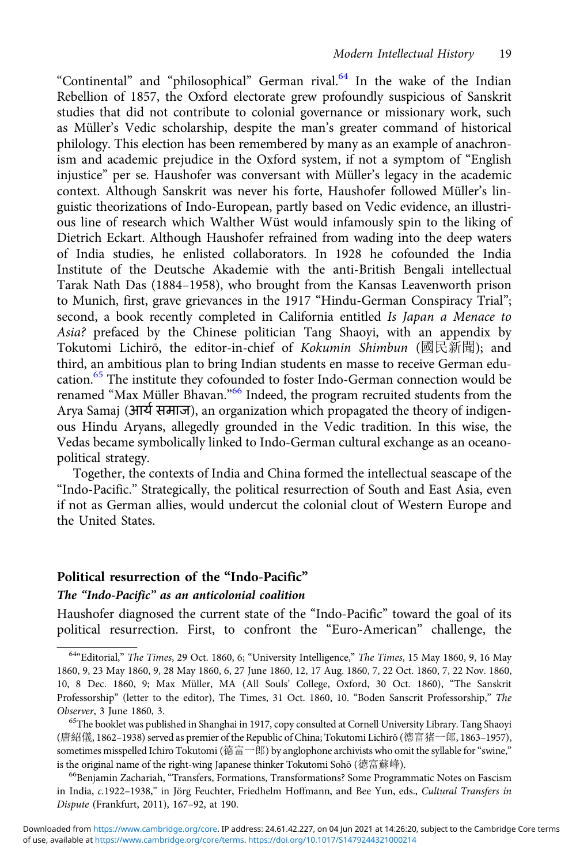"Continental" and "philosophical" German rival.<sup>64</sup> In the wake of the Indian Rebellion of 1857, the Oxford electorate grew profoundly suspicious of Sanskrit studies that did not contribute to colonial governance or missionary work, such as Müller's Vedic scholarship, despite the man's greater command of historical philology. This election has been remembered by many as an example of anachronism and academic prejudice in the Oxford system, if not a symptom of "English injustice" per se. Haushofer was conversant with Müller's legacy in the academic context. Although Sanskrit was never his forte, Haushofer followed Müller's linguistic theorizations of Indo-European, partly based on Vedic evidence, an illustrious line of research which Walther Wüst would infamously spin to the liking of Dietrich Eckart. Although Haushofer refrained from wading into the deep waters of India studies, he enlisted collaborators. In 1928 he cofounded the India Institute of the Deutsche Akademie with the anti-British Bengali intellectual Tarak Nath Das (1884–1958), who brought from the Kansas Leavenworth prison to Munich, first, grave grievances in the 1917 "Hindu-German Conspiracy Trial"; second, a book recently completed in California entitled Is Japan a Menace to Asia? prefaced by the Chinese politician Tang Shaoyi, with an appendix by Tokutomi Lichirō, the editor-in-chief of Kokumin Shimbun (國民新聞); and third, an ambitious plan to bring Indian students en masse to receive German education.<sup>65</sup> The institute they cofounded to foster Indo-German connection would be renamed "Max Müller Bhavan."<sup>66</sup> Indeed, the program recruited students from the Arya Samaj (आर्य समाज), an organization which propagated the theory of indigenous Hindu Aryans, allegedly grounded in the Vedic tradition. In this wise, the Vedas became symbolically linked to Indo-German cultural exchange as an oceanopolitical strategy.

Together, the contexts of India and China formed the intellectual seascape of the "Indo-Pacific." Strategically, the political resurrection of South and East Asia, even if not as German allies, would undercut the colonial clout of Western Europe and the United States.

#### Political resurrection of the "Indo-Pacific"

## The "Indo-Pacific" as an anticolonial coalition

Haushofer diagnosed the current state of the "Indo-Pacific" toward the goal of its political resurrection. First, to confront the "Euro-American" challenge, the

<sup>&</sup>lt;sup>64</sup>"Editorial," The Times, 29 Oct. 1860, 6; "University Intelligence," The Times, 15 May 1860, 9, 16 May 1860, 9, 23 May 1860, 9, 28 May 1860, 6, 27 June 1860, 12, 17 Aug. 1860, 7, 22 Oct. 1860, 7, 22 Nov. 1860, 10, 8 Dec. 1860, 9; Max Müller, MA (All Souls' College, Oxford, 30 Oct. 1860), "The Sanskrit Professorship" (letter to the editor), The Times, 31 Oct. 1860, 10. "Boden Sanscrit Professorship," The Observer, 3 June 1860, 3.<br><sup>65</sup>The booklet was published in Shanghai in 1917, copy consulted at Cornell University Library. Tang Shaoyi

<sup>(</sup>唐紹儀, 1862–1938) served as premier of the Republic of China; Tokutomi Lichirō (德富猪一郎, 1863–1957), sometimes misspelled Ichiro Tokutomi (德富一郎) by anglophone archivists who omit the syllable for "swine," is the original name of the right-wing Japanese thinker Tokutomi Sohō (德富蘇峰).

<sup>&</sup>lt;sup>66</sup>Benjamin Zachariah, "Transfers, Formations, Transformations? Some Programmatic Notes on Fascism in India, c.1922–1938," in Jörg Feuchter, Friedhelm Hoffmann, and Bee Yun, eds., Cultural Transfers in Dispute (Frankfurt, 2011), 167–92, at 190.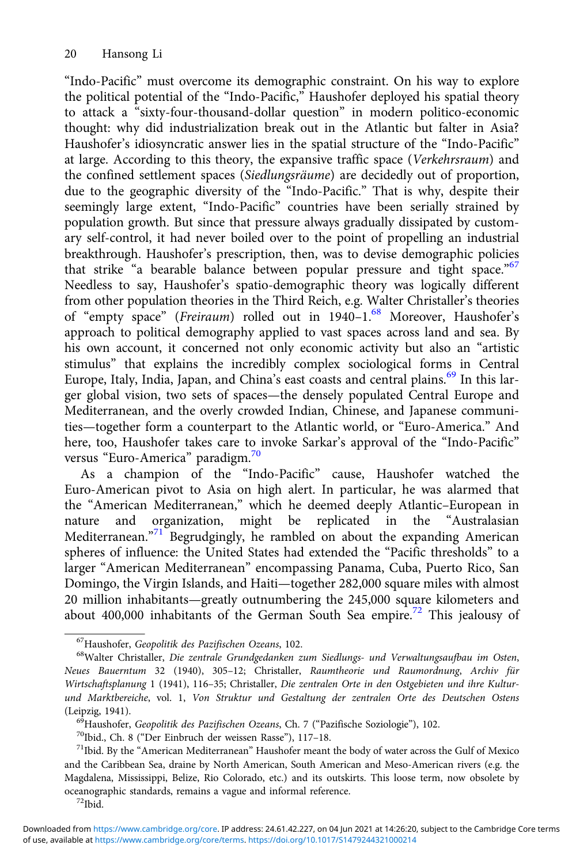"Indo-Pacific" must overcome its demographic constraint. On his way to explore the political potential of the "Indo-Pacific," Haushofer deployed his spatial theory to attack a "sixty-four-thousand-dollar question" in modern politico-economic thought: why did industrialization break out in the Atlantic but falter in Asia? Haushofer's idiosyncratic answer lies in the spatial structure of the "Indo-Pacific" at large. According to this theory, the expansive traffic space (Verkehrsraum) and the confined settlement spaces (Siedlungsräume) are decidedly out of proportion, due to the geographic diversity of the "Indo-Pacific." That is why, despite their seemingly large extent, "Indo-Pacific" countries have been serially strained by population growth. But since that pressure always gradually dissipated by customary self-control, it had never boiled over to the point of propelling an industrial breakthrough. Haushofer's prescription, then, was to devise demographic policies that strike "a bearable balance between popular pressure and tight space."<sup>67</sup> Needless to say, Haushofer's spatio-demographic theory was logically different from other population theories in the Third Reich, e.g. Walter Christaller's theories of "empty space" (Freiraum) rolled out in 1940–1.<sup>68</sup> Moreover, Haushofer's approach to political demography applied to vast spaces across land and sea. By his own account, it concerned not only economic activity but also an "artistic stimulus" that explains the incredibly complex sociological forms in Central Europe, Italy, India, Japan, and China's east coasts and central plains.<sup>69</sup> In this larger global vision, two sets of spaces—the densely populated Central Europe and Mediterranean, and the overly crowded Indian, Chinese, and Japanese communities—together form a counterpart to the Atlantic world, or "Euro-America." And here, too, Haushofer takes care to invoke Sarkar's approval of the "Indo-Pacific" versus "Euro-America" paradigm.<sup>70</sup>

As a champion of the "Indo-Pacific" cause, Haushofer watched the Euro-American pivot to Asia on high alert. In particular, he was alarmed that the "American Mediterranean," which he deemed deeply Atlantic–European in nature and organization, might be replicated in the "Australasian Mediterranean."<sup>71</sup> Begrudgingly, he rambled on about the expanding American spheres of influence: the United States had extended the "Pacific thresholds" to a larger "American Mediterranean" encompassing Panama, Cuba, Puerto Rico, San Domingo, the Virgin Islands, and Haiti—together 282,000 square miles with almost 20 million inhabitants—greatly outnumbering the 245,000 square kilometers and about 400,000 inhabitants of the German South Sea empire.<sup>72</sup> This jealousy of

<sup>&</sup>lt;sup>67</sup>Haushofer, Geopolitik des Pazifischen Ozeans, 102.<br><sup>68</sup>Walter Christaller, Die zentrale Grundgedanken zum Siedlungs- und Verwaltungsaufbau im Osten, Neues Bauerntum 32 (1940), 305–12; Christaller, Raumtheorie und Raumordnung, Archiv für Wirtschaftsplanung 1 (1941), 116–35; Christaller, Die zentralen Orte in den Ostgebieten und ihre Kulturund Marktbereiche, vol. 1, Von Struktur und Gestaltung der zentralen Orte des Deutschen Ostens

<sup>(</sup>Leipzig, 1941).<br><sup>69</sup>Haushofer, *Geopolitik des Pazifischen Ozeans*, Ch. 7 ("Pazifische Soziologie"), 102.<br><sup>70</sup>Ibid., Ch. 8 ("Der Einbruch der weissen Rasse"), 117–18.<br><sup>71</sup>Ibid. By the "American Mediterranean" Haushofer m and the Caribbean Sea, draine by North American, South American and Meso-American rivers (e.g. the Magdalena, Mississippi, Belize, Rio Colorado, etc.) and its outskirts. This loose term, now obsolete by oceanographic standards, remains a vague and informal reference. 72Ibid.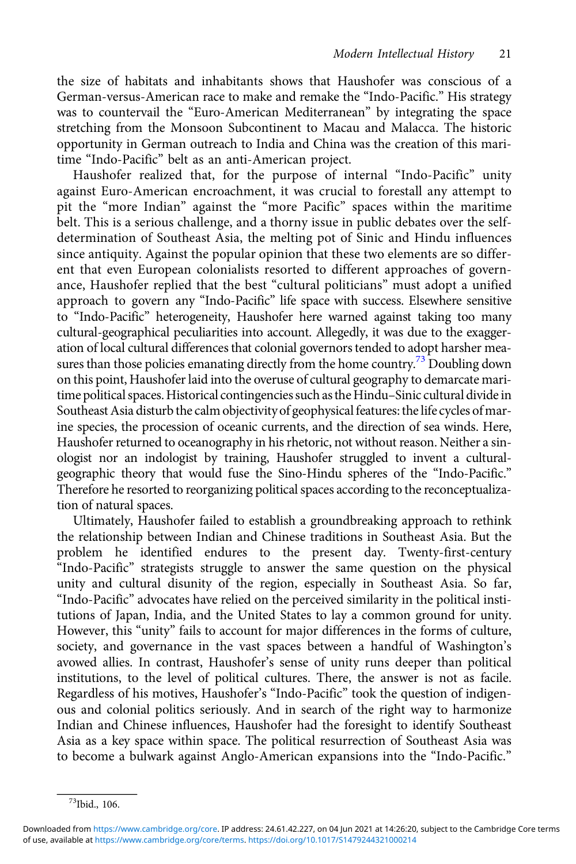the size of habitats and inhabitants shows that Haushofer was conscious of a German-versus-American race to make and remake the "Indo-Pacific." His strategy was to countervail the "Euro-American Mediterranean" by integrating the space stretching from the Monsoon Subcontinent to Macau and Malacca. The historic opportunity in German outreach to India and China was the creation of this maritime "Indo-Pacific" belt as an anti-American project.

Haushofer realized that, for the purpose of internal "Indo-Pacific" unity against Euro-American encroachment, it was crucial to forestall any attempt to pit the "more Indian" against the "more Pacific" spaces within the maritime belt. This is a serious challenge, and a thorny issue in public debates over the selfdetermination of Southeast Asia, the melting pot of Sinic and Hindu influences since antiquity. Against the popular opinion that these two elements are so different that even European colonialists resorted to different approaches of governance, Haushofer replied that the best "cultural politicians" must adopt a unified approach to govern any "Indo-Pacific" life space with success. Elsewhere sensitive to "Indo-Pacific" heterogeneity, Haushofer here warned against taking too many cultural-geographical peculiarities into account. Allegedly, it was due to the exaggeration of local cultural differences that colonial governors tended to adopt harsher measures than those policies emanating directly from the home country.<sup>73</sup> Doubling down on this point, Haushofer laid into the overuse of cultural geography to demarcate maritime political spaces. Historical contingencies such as the Hindu–Sinic cultural divide in Southeast Asia disturb the calm objectivity of geophysical features: the life cycles of marine species, the procession of oceanic currents, and the direction of sea winds. Here, Haushofer returned to oceanography in his rhetoric, not without reason. Neither a sinologist nor an indologist by training, Haushofer struggled to invent a culturalgeographic theory that would fuse the Sino-Hindu spheres of the "Indo-Pacific." Therefore he resorted to reorganizing political spaces according to the reconceptualization of natural spaces.

Ultimately, Haushofer failed to establish a groundbreaking approach to rethink the relationship between Indian and Chinese traditions in Southeast Asia. But the problem he identified endures to the present day. Twenty-first-century "Indo-Pacific" strategists struggle to answer the same question on the physical unity and cultural disunity of the region, especially in Southeast Asia. So far, "Indo-Pacific" advocates have relied on the perceived similarity in the political institutions of Japan, India, and the United States to lay a common ground for unity. However, this "unity" fails to account for major differences in the forms of culture, society, and governance in the vast spaces between a handful of Washington's avowed allies. In contrast, Haushofer's sense of unity runs deeper than political institutions, to the level of political cultures. There, the answer is not as facile. Regardless of his motives, Haushofer's "Indo-Pacific" took the question of indigenous and colonial politics seriously. And in search of the right way to harmonize Indian and Chinese influences, Haushofer had the foresight to identify Southeast Asia as a key space within space. The political resurrection of Southeast Asia was to become a bulwark against Anglo-American expansions into the "Indo-Pacific."

<sup>73</sup>Ibid., 106.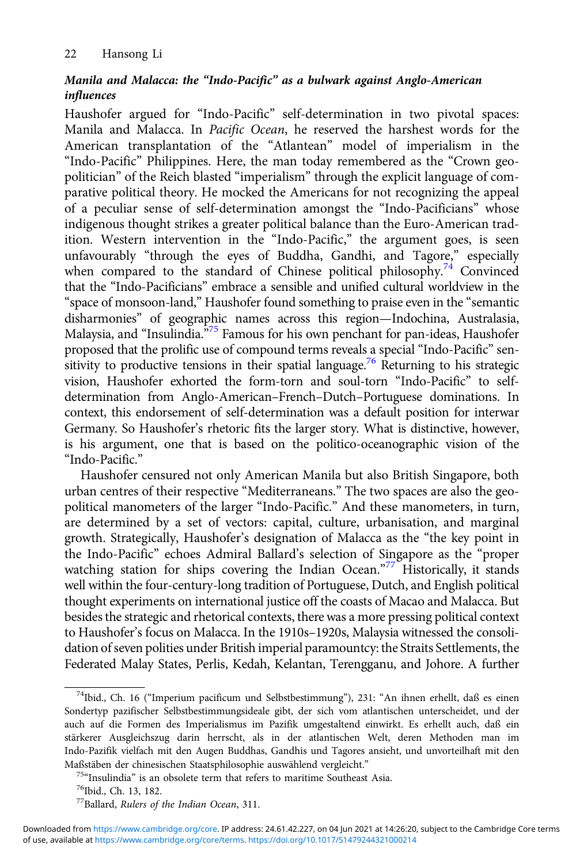## Manila and Malacca: the "Indo-Pacific" as a bulwark against Anglo-American influences

Haushofer argued for "Indo-Pacific" self-determination in two pivotal spaces: Manila and Malacca. In Pacific Ocean, he reserved the harshest words for the American transplantation of the "Atlantean" model of imperialism in the "Indo-Pacific" Philippines. Here, the man today remembered as the "Crown geopolitician" of the Reich blasted "imperialism" through the explicit language of comparative political theory. He mocked the Americans for not recognizing the appeal of a peculiar sense of self-determination amongst the "Indo-Pacificians" whose indigenous thought strikes a greater political balance than the Euro-American tradition. Western intervention in the "Indo-Pacific," the argument goes, is seen unfavourably "through the eyes of Buddha, Gandhi, and Tagore," especially when compared to the standard of Chinese political philosophy.<sup>74</sup> Convinced that the "Indo-Pacificians" embrace a sensible and unified cultural worldview in the "space of monsoon-land," Haushofer found something to praise even in the "semantic disharmonies" of geographic names across this region—Indochina, Australasia, Malaysia, and "Insulindia.<sup>575</sup> Famous for his own penchant for pan-ideas, Haushofer proposed that the prolific use of compound terms reveals a special "Indo-Pacific" sensitivity to productive tensions in their spatial language.<sup>76</sup> Returning to his strategic vision, Haushofer exhorted the form-torn and soul-torn "Indo-Pacific" to selfdetermination from Anglo-American–French–Dutch–Portuguese dominations. In context, this endorsement of self-determination was a default position for interwar Germany. So Haushofer's rhetoric fits the larger story. What is distinctive, however, is his argument, one that is based on the politico-oceanographic vision of the "Indo-Pacific."

Haushofer censured not only American Manila but also British Singapore, both urban centres of their respective "Mediterraneans." The two spaces are also the geopolitical manometers of the larger "Indo-Pacific." And these manometers, in turn, are determined by a set of vectors: capital, culture, urbanisation, and marginal growth. Strategically, Haushofer's designation of Malacca as the "the key point in the Indo-Pacific" echoes Admiral Ballard's selection of Singapore as the "proper watching station for ships covering the Indian Ocean."<sup>77</sup> Historically, it stands well within the four-century-long tradition of Portuguese, Dutch, and English political thought experiments on international justice off the coasts of Macao and Malacca. But besides the strategic and rhetorical contexts, there was a more pressing political context to Haushofer's focus on Malacca. In the 1910s–1920s, Malaysia witnessed the consolidation of seven polities under British imperial paramountcy: the Straits Settlements, the Federated Malay States, Perlis, Kedah, Kelantan, Terengganu, and Johore. A further

<sup>74</sup>Ibid., Ch. 16 ("Imperium pacificum und Selbstbestimmung"), 231: "An ihnen erhellt, daß es einen Sondertyp pazifischer Selbstbestimmungsideale gibt, der sich vom atlantischen unterscheidet, und der auch auf die Formen des Imperialismus im Pazifik umgestaltend einwirkt. Es erhellt auch, daß ein stärkerer Ausgleichszug darin herrscht, als in der atlantischen Welt, deren Methoden man im Indo-Pazifik vielfach mit den Augen Buddhas, Gandhis und Tagores ansieht, und unvorteilhaft mit den

Maßstäben der chinesischen Staatsphilosophie auswählend vergleicht." <sup>75</sup>"Insulindia" is an obsolete term that refers to maritime Southeast Asia. 76Ibid., Ch. 13, 182.

<sup>77</sup>Ballard, Rulers of the Indian Ocean, 311.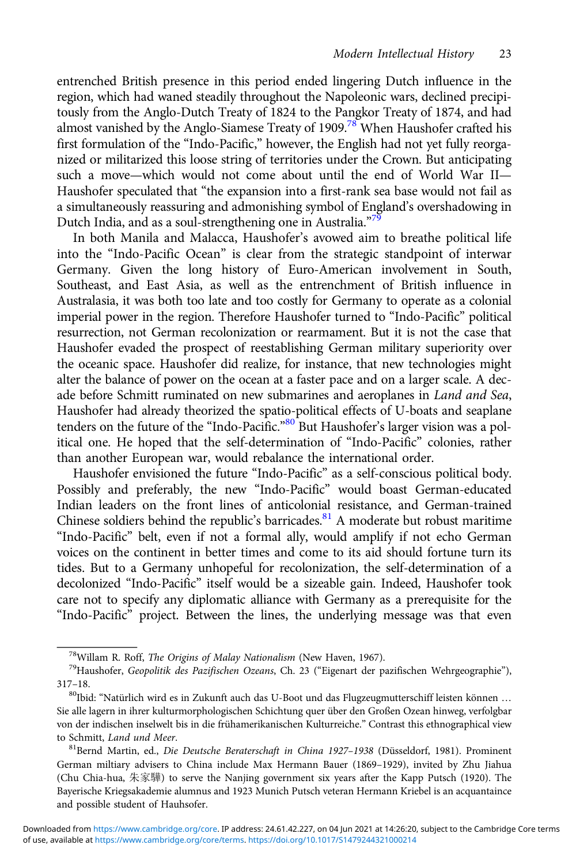entrenched British presence in this period ended lingering Dutch influence in the region, which had waned steadily throughout the Napoleonic wars, declined precipitously from the Anglo-Dutch Treaty of 1824 to the Pangkor Treaty of 1874, and had almost vanished by the Anglo-Siamese Treaty of 1909.<sup>78</sup> When Haushofer crafted his first formulation of the "Indo-Pacific," however, the English had not yet fully reorganized or militarized this loose string of territories under the Crown. But anticipating such a move—which would not come about until the end of World War II— Haushofer speculated that "the expansion into a first-rank sea base would not fail as a simultaneously reassuring and admonishing symbol of England's overshadowing in Dutch India, and as a soul-strengthening one in Australia."<sup>79</sup>

In both Manila and Malacca, Haushofer's avowed aim to breathe political life into the "Indo-Pacific Ocean" is clear from the strategic standpoint of interwar Germany. Given the long history of Euro-American involvement in South, Southeast, and East Asia, as well as the entrenchment of British influence in Australasia, it was both too late and too costly for Germany to operate as a colonial imperial power in the region. Therefore Haushofer turned to "Indo-Pacific" political resurrection, not German recolonization or rearmament. But it is not the case that Haushofer evaded the prospect of reestablishing German military superiority over the oceanic space. Haushofer did realize, for instance, that new technologies might alter the balance of power on the ocean at a faster pace and on a larger scale. A decade before Schmitt ruminated on new submarines and aeroplanes in Land and Sea, Haushofer had already theorized the spatio-political effects of U-boats and seaplane tenders on the future of the "Indo-Pacific."<sup>80</sup> But Haushofer's larger vision was a political one. He hoped that the self-determination of "Indo-Pacific" colonies, rather than another European war, would rebalance the international order.

Haushofer envisioned the future "Indo-Pacific" as a self-conscious political body. Possibly and preferably, the new "Indo-Pacific" would boast German-educated Indian leaders on the front lines of anticolonial resistance, and German-trained Chinese soldiers behind the republic's barricades. $81$  A moderate but robust maritime "Indo-Pacific" belt, even if not a formal ally, would amplify if not echo German voices on the continent in better times and come to its aid should fortune turn its tides. But to a Germany unhopeful for recolonization, the self-determination of a decolonized "Indo-Pacific" itself would be a sizeable gain. Indeed, Haushofer took care not to specify any diplomatic alliance with Germany as a prerequisite for the "Indo-Pacific" project. Between the lines, the underlying message was that even

<sup>&</sup>lt;sup>78</sup>Willam R. Roff, *The Origins of Malay Nationalism* (New Haven, 1967).<br><sup>79</sup>Haushofer, *Geopolitik des Pazifischen Ozeans*, Ch. 23 ("Eigenart der pazifischen Wehrgeographie"), 317–18.<br><sup>80</sup>Ibid: "Natürlich wird es in Zukunft auch das U-Boot und das Flugzeugmutterschiff leisten können …

Sie alle lagern in ihrer kulturmorphologischen Schichtung quer über den Großen Ozean hinweg, verfolgbar von der indischen inselwelt bis in die frühamerikanischen Kulturreiche." Contrast this ethnographical view to Schmitt, Land und Meer.<br><sup>81</sup>Bernd Martin, ed., Die Deutsche Beraterschaft in China 1927-1938 (Düsseldorf, 1981). Prominent

German miltiary advisers to China include Max Hermann Bauer (1869–1929), invited by Zhu Jiahua (Chu Chia-hua, 朱家驊) to serve the Nanjing government six years after the Kapp Putsch (1920). The Bayerische Kriegsakademie alumnus and 1923 Munich Putsch veteran Hermann Kriebel is an acquantaince and possible student of Hauhsofer.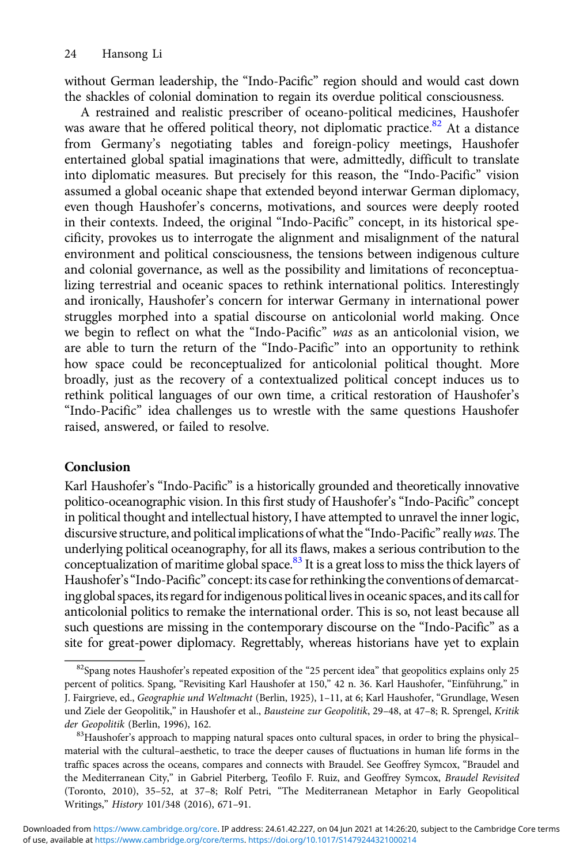without German leadership, the "Indo-Pacific" region should and would cast down the shackles of colonial domination to regain its overdue political consciousness.

A restrained and realistic prescriber of oceano-political medicines, Haushofer was aware that he offered political theory, not diplomatic practice.<sup>82</sup> At a distance from Germany's negotiating tables and foreign-policy meetings, Haushofer entertained global spatial imaginations that were, admittedly, difficult to translate into diplomatic measures. But precisely for this reason, the "Indo-Pacific" vision assumed a global oceanic shape that extended beyond interwar German diplomacy, even though Haushofer's concerns, motivations, and sources were deeply rooted in their contexts. Indeed, the original "Indo-Pacific" concept, in its historical specificity, provokes us to interrogate the alignment and misalignment of the natural environment and political consciousness, the tensions between indigenous culture and colonial governance, as well as the possibility and limitations of reconceptualizing terrestrial and oceanic spaces to rethink international politics. Interestingly and ironically, Haushofer's concern for interwar Germany in international power struggles morphed into a spatial discourse on anticolonial world making. Once we begin to reflect on what the "Indo-Pacific" was as an anticolonial vision, we are able to turn the return of the "Indo-Pacific" into an opportunity to rethink how space could be reconceptualized for anticolonial political thought. More broadly, just as the recovery of a contextualized political concept induces us to rethink political languages of our own time, a critical restoration of Haushofer's "Indo-Pacific" idea challenges us to wrestle with the same questions Haushofer raised, answered, or failed to resolve.

## Conclusion

Karl Haushofer's "Indo-Pacific" is a historically grounded and theoretically innovative politico-oceanographic vision. In this first study of Haushofer's "Indo-Pacific" concept in political thought and intellectual history, I have attempted to unravel the inner logic, discursive structure, and political implications of what the "Indo-Pacific" really was. The underlying political oceanography, for all its flaws, makes a serious contribution to the conceptualization of maritime global space.<sup>83</sup> It is a great loss to miss the thick layers of Haushofer's "Indo-Pacific" concept: its case for rethinking the conventions of demarcating global spaces, its regard for indigenous political lives in oceanic spaces, and its call for anticolonial politics to remake the international order. This is so, not least because all such questions are missing in the contemporary discourse on the "Indo-Pacific" as a site for great-power diplomacy. Regrettably, whereas historians have yet to explain

<sup>82</sup>Spang notes Haushofer's repeated exposition of the "25 percent idea" that geopolitics explains only 25 percent of politics. Spang, "Revisiting Karl Haushofer at 150," 42 n. 36. Karl Haushofer, "Einführung," in J. Fairgrieve, ed., Geographie und Weltmacht (Berlin, 1925), 1-11, at 6; Karl Haushofer, "Grundlage, Wesen und Ziele der Geopolitik," in Haushofer et al., Bausteine zur Geopolitik, 29-48, at 47-8; R. Sprengel, Kritik der Geopolitik (Berlin, 1996), 162.<br><sup>83</sup>Haushofer's approach to mapping natural spaces onto cultural spaces, in order to bring the physical–

material with the cultural–aesthetic, to trace the deeper causes of fluctuations in human life forms in the traffic spaces across the oceans, compares and connects with Braudel. See Geoffrey Symcox, "Braudel and the Mediterranean City," in Gabriel Piterberg, Teofilo F. Ruiz, and Geoffrey Symcox, Braudel Revisited (Toronto, 2010), 35–52, at 37–8; Rolf Petri, "The Mediterranean Metaphor in Early Geopolitical Writings," History 101/348 (2016), 671–91.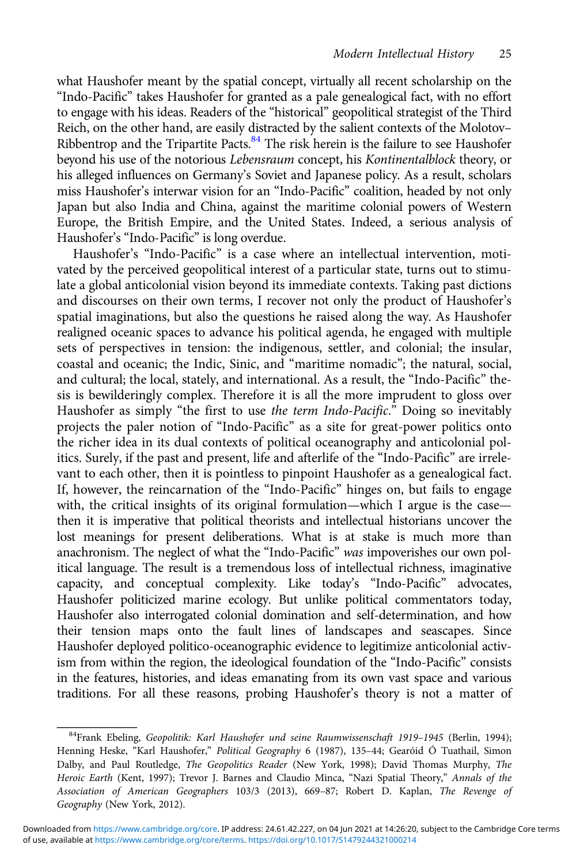what Haushofer meant by the spatial concept, virtually all recent scholarship on the "Indo-Pacific" takes Haushofer for granted as a pale genealogical fact, with no effort to engage with his ideas. Readers of the "historical" geopolitical strategist of the Third Reich, on the other hand, are easily distracted by the salient contexts of the Molotov– Ribbentrop and the Tripartite Pacts.<sup>84</sup> The risk herein is the failure to see Haushofer beyond his use of the notorious Lebensraum concept, his Kontinentalblock theory, or his alleged influences on Germany's Soviet and Japanese policy. As a result, scholars miss Haushofer's interwar vision for an "Indo-Pacific" coalition, headed by not only Japan but also India and China, against the maritime colonial powers of Western Europe, the British Empire, and the United States. Indeed, a serious analysis of Haushofer's "Indo-Pacific" is long overdue.

Haushofer's "Indo-Pacific" is a case where an intellectual intervention, motivated by the perceived geopolitical interest of a particular state, turns out to stimulate a global anticolonial vision beyond its immediate contexts. Taking past dictions and discourses on their own terms, I recover not only the product of Haushofer's spatial imaginations, but also the questions he raised along the way. As Haushofer realigned oceanic spaces to advance his political agenda, he engaged with multiple sets of perspectives in tension: the indigenous, settler, and colonial; the insular, coastal and oceanic; the Indic, Sinic, and "maritime nomadic"; the natural, social, and cultural; the local, stately, and international. As a result, the "Indo-Pacific" thesis is bewilderingly complex. Therefore it is all the more imprudent to gloss over Haushofer as simply "the first to use the term Indo-Pacific." Doing so inevitably projects the paler notion of "Indo-Pacific" as a site for great-power politics onto the richer idea in its dual contexts of political oceanography and anticolonial politics. Surely, if the past and present, life and afterlife of the "Indo-Pacific" are irrelevant to each other, then it is pointless to pinpoint Haushofer as a genealogical fact. If, however, the reincarnation of the "Indo-Pacific" hinges on, but fails to engage with, the critical insights of its original formulation—which I argue is the case then it is imperative that political theorists and intellectual historians uncover the lost meanings for present deliberations. What is at stake is much more than anachronism. The neglect of what the "Indo-Pacific" was impoverishes our own political language. The result is a tremendous loss of intellectual richness, imaginative capacity, and conceptual complexity. Like today's "Indo-Pacific" advocates, Haushofer politicized marine ecology. But unlike political commentators today, Haushofer also interrogated colonial domination and self-determination, and how their tension maps onto the fault lines of landscapes and seascapes. Since Haushofer deployed politico-oceanographic evidence to legitimize anticolonial activism from within the region, the ideological foundation of the "Indo-Pacific" consists in the features, histories, and ideas emanating from its own vast space and various traditions. For all these reasons, probing Haushofer's theory is not a matter of

<sup>&</sup>lt;sup>84</sup>Frank Ebeling, Geopolitik: Karl Haushofer und seine Raumwissenschaft 1919-1945 (Berlin, 1994); Henning Heske, "Karl Haushofer," Political Geography 6 (1987), 135–44; Gearóid Ó Tuathail, Simon Dalby, and Paul Routledge, The Geopolitics Reader (New York, 1998); David Thomas Murphy, The Heroic Earth (Kent, 1997); Trevor J. Barnes and Claudio Minca, "Nazi Spatial Theory," Annals of the Association of American Geographers 103/3 (2013), 669–87; Robert D. Kaplan, The Revenge of Geography (New York, 2012).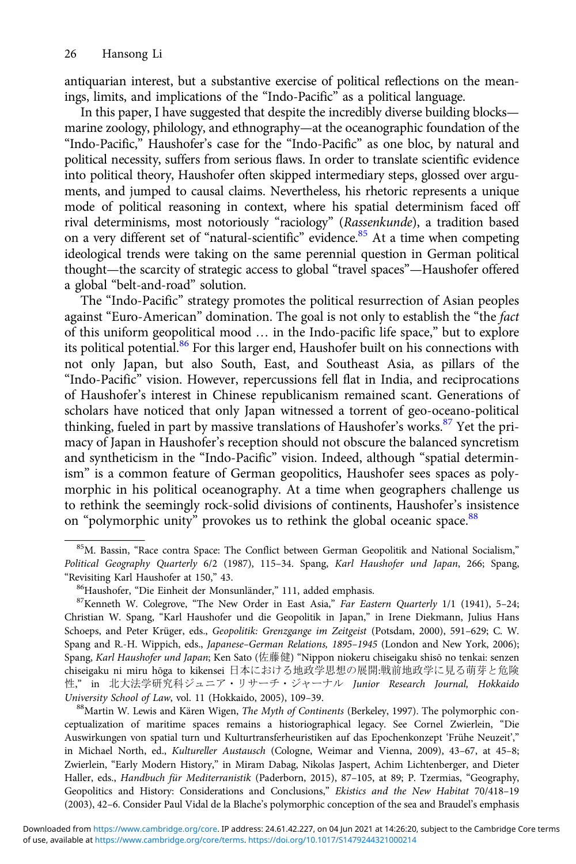antiquarian interest, but a substantive exercise of political reflections on the meanings, limits, and implications of the "Indo-Pacific" as a political language.

In this paper, I have suggested that despite the incredibly diverse building blocks marine zoology, philology, and ethnography—at the oceanographic foundation of the "Indo-Pacific," Haushofer's case for the "Indo-Pacific" as one bloc, by natural and political necessity, suffers from serious flaws. In order to translate scientific evidence into political theory, Haushofer often skipped intermediary steps, glossed over arguments, and jumped to causal claims. Nevertheless, his rhetoric represents a unique mode of political reasoning in context, where his spatial determinism faced off rival determinisms, most notoriously "raciology" (Rassenkunde), a tradition based on a very different set of "natural-scientific" evidence. $85$  At a time when competing ideological trends were taking on the same perennial question in German political thought—the scarcity of strategic access to global "travel spaces"—Haushofer offered a global "belt-and-road" solution.

The "Indo-Pacific" strategy promotes the political resurrection of Asian peoples against "Euro-American" domination. The goal is not only to establish the "the fact of this uniform geopolitical mood … in the Indo-pacific life space," but to explore its political potential.<sup>86</sup> For this larger end, Haushofer built on his connections with not only Japan, but also South, East, and Southeast Asia, as pillars of the "Indo-Pacific" vision. However, repercussions fell flat in India, and reciprocations of Haushofer's interest in Chinese republicanism remained scant. Generations of scholars have noticed that only Japan witnessed a torrent of geo-oceano-political thinking, fueled in part by massive translations of Haushofer's works.<sup>87</sup> Yet the primacy of Japan in Haushofer's reception should not obscure the balanced syncretism and syntheticism in the "Indo-Pacific" vision. Indeed, although "spatial determinism" is a common feature of German geopolitics, Haushofer sees spaces as polymorphic in his political oceanography. At a time when geographers challenge us to rethink the seemingly rock-solid divisions of continents, Haushofer's insistence on "polymorphic unity" provokes us to rethink the global oceanic space.<sup>88</sup>

ceptualization of maritime spaces remains a historiographical legacy. See Cornel Zwierlein, "Die Auswirkungen von spatial turn und Kulturtransferheuristiken auf das Epochenkonzept 'Frühe Neuzeit'," in Michael North, ed., Kultureller Austausch (Cologne, Weimar and Vienna, 2009), 43–67, at 45–8; Zwierlein, "Early Modern History," in Miram Dabag, Nikolas Jaspert, Achim Lichtenberger, and Dieter Haller, eds., Handbuch für Mediterranistik (Paderborn, 2015), 87–105, at 89; P. Tzermias, "Geography, Geopolitics and History: Considerations and Conclusions," Ekistics and the New Habitat 70/418–19 (2003), 42–6. Consider Paul Vidal de la Blache's polymorphic conception of the sea and Braudel's emphasis

<sup>85</sup>M. Bassin, "Race contra Space: The Conflict between German Geopolitik and National Socialism," Political Geography Quarterly 6/2 (1987), 115-34. Spang, Karl Haushofer und Japan, 266; Spang, "Revisiting Karl Haushofer at 150," 43.

<sup>&</sup>lt;sup>86</sup>Haushofer, "Die Einheit der Monsunländer," 111, added emphasis. <sup>87</sup>Kenneth W. Colegrove, "The New Order in East Asia," Far Eastern Quarterly 1/1 (1941), 5–24; Christian W. Spang, "Karl Haushofer und die Geopolitik in Japan," in Irene Diekmann, Julius Hans Schoeps, and Peter Krüger, eds., Geopolitik: Grenzgange im Zeitgeist (Potsdam, 2000), 591–629; C. W. Spang and R.-H. Wippich, eds., Japanese–German Relations, 1895–1945 (London and New York, 2006); Spang, Karl Haushofer und Japan; Ken Sato (佐藤健) "Nippon niokeru chiseigaku shisō no tenkai: senzen chiseigaku ni miru hōga to kikensei 日本における地政学思想の展開:戦前地政学に見る萌芽と危険 性," in 北大法学研究科ジュニア・リサーチ・ジャーナル Junior Research Journal, Hokkaido University School of Law, vol. 11 (Hokkaido, 2005), 109–39.<br><sup>88</sup>Martin W. Lewis and Kären Wigen, *The Myth of Continents* (Berkeley, 1997). The polymorphic con-